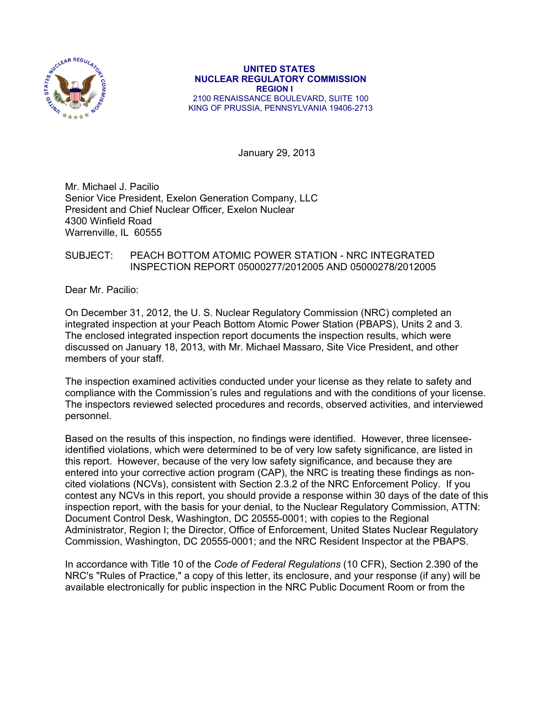

 **UNITED STATES NUCLEAR REGULATORY COMMISSION REGION I**  2100 RENAISSANCE BOULEVARD, SUITE 100 KING OF PRUSSIA, PENNSYLVANIA 19406-2713

January 29, 2013

Mr. Michael J. Pacilio Senior Vice President, Exelon Generation Company, LLC President and Chief Nuclear Officer, Exelon Nuclear 4300 Winfield Road Warrenville, IL 60555

## SUBJECT: PEACH BOTTOM ATOMIC POWER STATION - NRC INTEGRATED INSPECTION REPORT 05000277/2012005 AND 05000278/2012005

Dear Mr. Pacilio:

On December 31, 2012, the U. S. Nuclear Regulatory Commission (NRC) completed an integrated inspection at your Peach Bottom Atomic Power Station (PBAPS), Units 2 and 3. The enclosed integrated inspection report documents the inspection results, which were discussed on January 18, 2013, with Mr. Michael Massaro, Site Vice President, and other members of your staff.

The inspection examined activities conducted under your license as they relate to safety and compliance with the Commission's rules and regulations and with the conditions of your license. The inspectors reviewed selected procedures and records, observed activities, and interviewed personnel.

Based on the results of this inspection, no findings were identified. However, three licenseeidentified violations, which were determined to be of very low safety significance, are listed in this report. However, because of the very low safety significance, and because they are entered into your corrective action program (CAP), the NRC is treating these findings as noncited violations (NCVs), consistent with Section 2.3.2 of the NRC Enforcement Policy. If you contest any NCVs in this report, you should provide a response within 30 days of the date of this inspection report, with the basis for your denial, to the Nuclear Regulatory Commission, ATTN: Document Control Desk, Washington, DC 20555-0001; with copies to the Regional Administrator, Region I; the Director, Office of Enforcement, United States Nuclear Regulatory Commission, Washington, DC 20555-0001; and the NRC Resident Inspector at the PBAPS.

In accordance with Title 10 of the *Code of Federal Regulations* (10 CFR), Section 2.390 of the NRC's "Rules of Practice," a copy of this letter, its enclosure, and your response (if any) will be available electronically for public inspection in the NRC Public Document Room or from the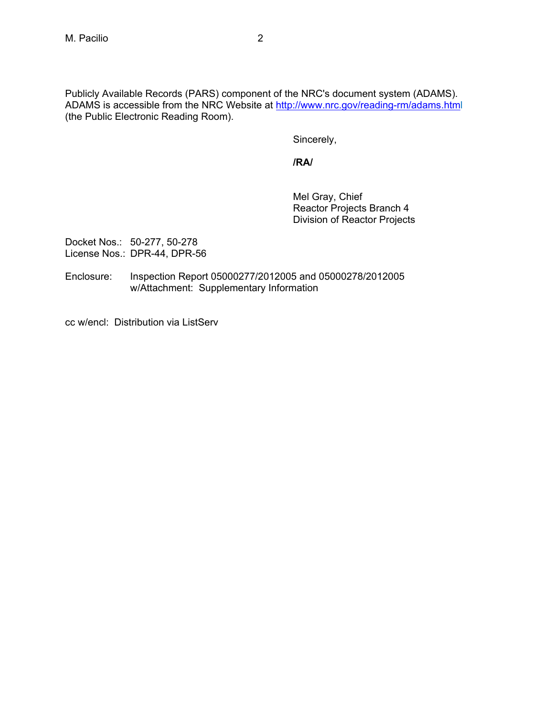Publicly Available Records (PARS) component of the NRC's document system (ADAMS). ADAMS is accessible from the NRC Website at http://www.nrc.gov/reading-rm/adams.html (the Public Electronic Reading Room).

Sincerely,

**/RA/** 

Mel Gray, Chief Reactor Projects Branch 4 Division of Reactor Projects

Docket Nos.: 50-277, 50-278 License Nos.: DPR-44, DPR-56

Enclosure: Inspection Report 05000277/2012005 and 05000278/2012005 w/Attachment: Supplementary Information

cc w/encl: Distribution via ListServ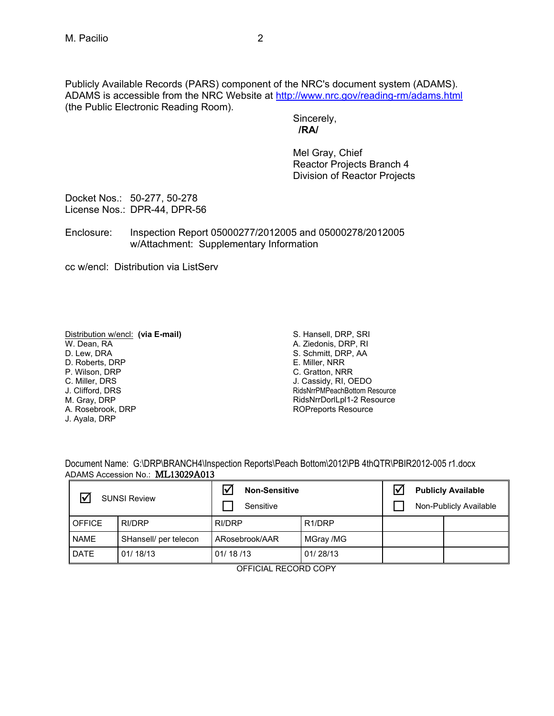Publicly Available Records (PARS) component of the NRC's document system (ADAMS). ADAMS is accessible from the NRC Website at http://www.nrc.gov/reading-rm/adams.html (the Public Electronic Reading Room).

> Sincerely,  **/RA/**

Mel Gray, Chief Reactor Projects Branch 4 Division of Reactor Projects

Docket Nos.: 50-277, 50-278 License Nos.: DPR-44, DPR-56

Enclosure: Inspection Report 05000277/2012005 and 05000278/2012005 w/Attachment: Supplementary Information

cc w/encl: Distribution via ListServ

Distribution w/encl: **(via E-mail)** W. Dean, RA D. Lew, DRA D. Roberts, DRP P. Wilson, DRP C. Miller, DRS J. Clifford, DRS M. Gray, DRP A. Rosebrook, DRP J. Ayala, DRP

S. Hansell, DRP, SRI A. Ziedonis, DRP, RI S. Schmitt, DRP, AA E. Miller, NRR C. Gratton, NRR J. Cassidy, RI, OEDO RidsNrrPMPeachBottom Resource RidsNrrDorlLpl1-2 Resource ROPreports Resource

Document Name: G:\DRP\BRANCH4\Inspection Reports\Peach Bottom\2012\PB 4thQTR\PBIR2012-005 r1.docx ADAMS Accession No.: ML13029A013

| <b>SUNSI Review</b> |                       | <b>Non-Sensitive</b><br>Sensitive |                     |  | <b>Publicly Available</b><br>Non-Publicly Available |
|---------------------|-----------------------|-----------------------------------|---------------------|--|-----------------------------------------------------|
| <b>OFFICE</b>       | RI/DRP                | RI/DRP                            | R <sub>1</sub> /DRP |  |                                                     |
| <b>NAME</b>         | SHansell/ per telecon | ARosebrook/AAR                    | MGray /MG           |  |                                                     |
| <b>DATE</b>         | 01/18/13              | 01/18/13                          | 01/28/13            |  |                                                     |

OFFICIAL RECORD COPY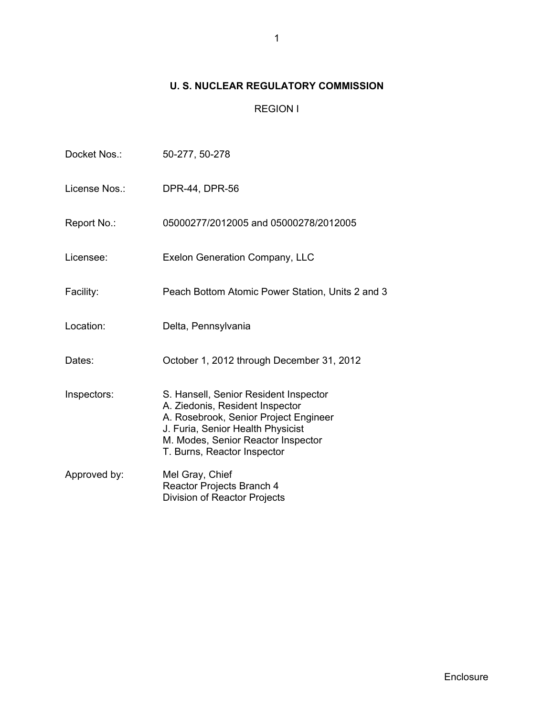# **U. S. NUCLEAR REGULATORY COMMISSION**

# REGION I

| Docket Nos.:  | 50-277, 50-278                                                                                                                                                                                                              |
|---------------|-----------------------------------------------------------------------------------------------------------------------------------------------------------------------------------------------------------------------------|
| License Nos.: | DPR-44, DPR-56                                                                                                                                                                                                              |
| Report No.:   | 05000277/2012005 and 05000278/2012005                                                                                                                                                                                       |
| Licensee:     | Exelon Generation Company, LLC                                                                                                                                                                                              |
| Facility:     | Peach Bottom Atomic Power Station, Units 2 and 3                                                                                                                                                                            |
| Location:     | Delta, Pennsylvania                                                                                                                                                                                                         |
| Dates:        | October 1, 2012 through December 31, 2012                                                                                                                                                                                   |
| Inspectors:   | S. Hansell, Senior Resident Inspector<br>A. Ziedonis, Resident Inspector<br>A. Rosebrook, Senior Project Engineer<br>J. Furia, Senior Health Physicist<br>M. Modes, Senior Reactor Inspector<br>T. Burns, Reactor Inspector |
| Approved by:  | Mel Gray, Chief<br>Reactor Projects Branch 4<br>Division of Reactor Projects                                                                                                                                                |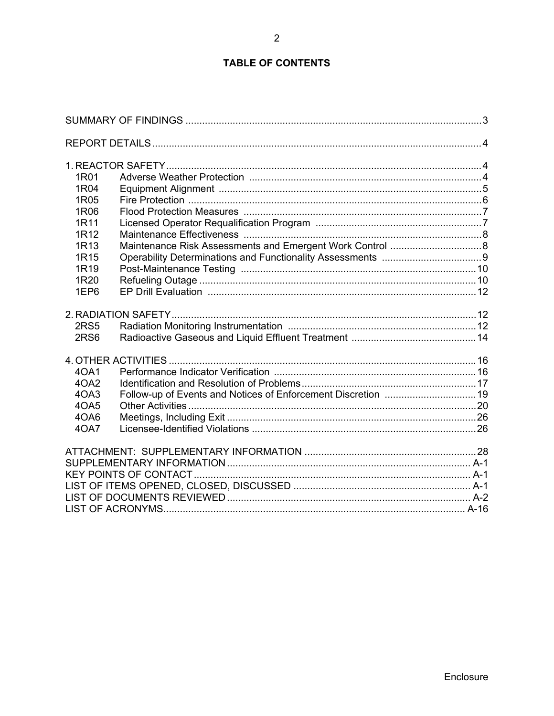# **TABLE OF CONTENTS**

| 1R01             |  |
|------------------|--|
| 1R04             |  |
| 1R05             |  |
| 1R06             |  |
| 1R11             |  |
| 1R12             |  |
| 1R <sub>13</sub> |  |
| 1R <sub>15</sub> |  |
| 1R <sub>19</sub> |  |
| 1R20             |  |
| 1EP6             |  |
|                  |  |
| <b>2RS5</b>      |  |
| 2RS <sub>6</sub> |  |
|                  |  |
| 40A1             |  |
| 4OA2             |  |
| 4OA3             |  |
| 4OA5             |  |
| 4OA6             |  |
| 40A7             |  |
|                  |  |
|                  |  |
|                  |  |
|                  |  |
|                  |  |
|                  |  |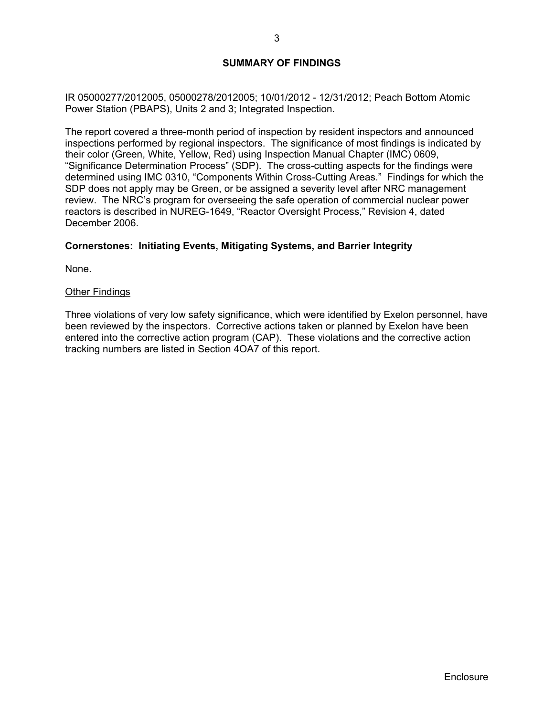## **SUMMARY OF FINDINGS**

IR 05000277/2012005, 05000278/2012005; 10/01/2012 - 12/31/2012; Peach Bottom Atomic Power Station (PBAPS), Units 2 and 3; Integrated Inspection.

The report covered a three-month period of inspection by resident inspectors and announced inspections performed by regional inspectors. The significance of most findings is indicated by their color (Green, White, Yellow, Red) using Inspection Manual Chapter (IMC) 0609, "Significance Determination Process" (SDP). The cross-cutting aspects for the findings were determined using IMC 0310, "Components Within Cross-Cutting Areas." Findings for which the SDP does not apply may be Green, or be assigned a severity level after NRC management review. The NRC's program for overseeing the safe operation of commercial nuclear power reactors is described in NUREG-1649, "Reactor Oversight Process," Revision 4, dated December 2006.

### **Cornerstones: Initiating Events, Mitigating Systems, and Barrier Integrity**

None.

#### Other Findings

Three violations of very low safety significance, which were identified by Exelon personnel, have been reviewed by the inspectors. Corrective actions taken or planned by Exelon have been entered into the corrective action program (CAP). These violations and the corrective action tracking numbers are listed in Section 4OA7 of this report.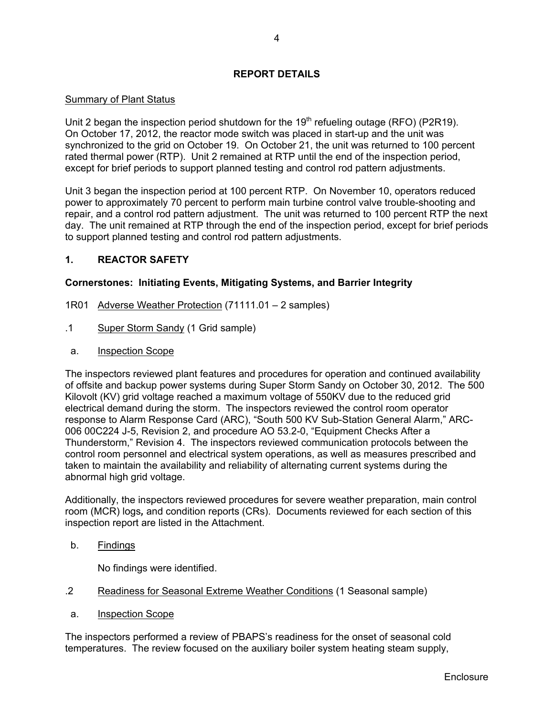## **REPORT DETAILS**

## **Summary of Plant Status**

Unit 2 began the inspection period shutdown for the  $19<sup>th</sup>$  refueling outage (RFO) (P2R19). On October 17, 2012, the reactor mode switch was placed in start-up and the unit was synchronized to the grid on October 19. On October 21, the unit was returned to 100 percent rated thermal power (RTP). Unit 2 remained at RTP until the end of the inspection period, except for brief periods to support planned testing and control rod pattern adjustments.

Unit 3 began the inspection period at 100 percent RTP. On November 10, operators reduced power to approximately 70 percent to perform main turbine control valve trouble-shooting and repair, and a control rod pattern adjustment. The unit was returned to 100 percent RTP the next day. The unit remained at RTP through the end of the inspection period, except for brief periods to support planned testing and control rod pattern adjustments.

## **1. REACTOR SAFETY**

## **Cornerstones: Initiating Events, Mitigating Systems, and Barrier Integrity**

- 1R01 Adverse Weather Protection (71111.01 2 samples)
- .1 Super Storm Sandy (1 Grid sample)
- a. Inspection Scope

The inspectors reviewed plant features and procedures for operation and continued availability of offsite and backup power systems during Super Storm Sandy on October 30, 2012. The 500 Kilovolt (KV) grid voltage reached a maximum voltage of 550KV due to the reduced grid electrical demand during the storm. The inspectors reviewed the control room operator response to Alarm Response Card (ARC), "South 500 KV Sub-Station General Alarm," ARC-006 00C224 J-5, Revision 2, and procedure AO 53.2-0, "Equipment Checks After a Thunderstorm," Revision 4. The inspectors reviewed communication protocols between the control room personnel and electrical system operations, as well as measures prescribed and taken to maintain the availability and reliability of alternating current systems during the abnormal high grid voltage.

Additionally, the inspectors reviewed procedures for severe weather preparation, main control room (MCR) logs*,* and condition reports (CRs). Documents reviewed for each section of this inspection report are listed in the Attachment.

b. Findings

No findings were identified.

- .2 Readiness for Seasonal Extreme Weather Conditions (1 Seasonal sample)
- a. Inspection Scope

The inspectors performed a review of PBAPS's readiness for the onset of seasonal cold temperatures. The review focused on the auxiliary boiler system heating steam supply,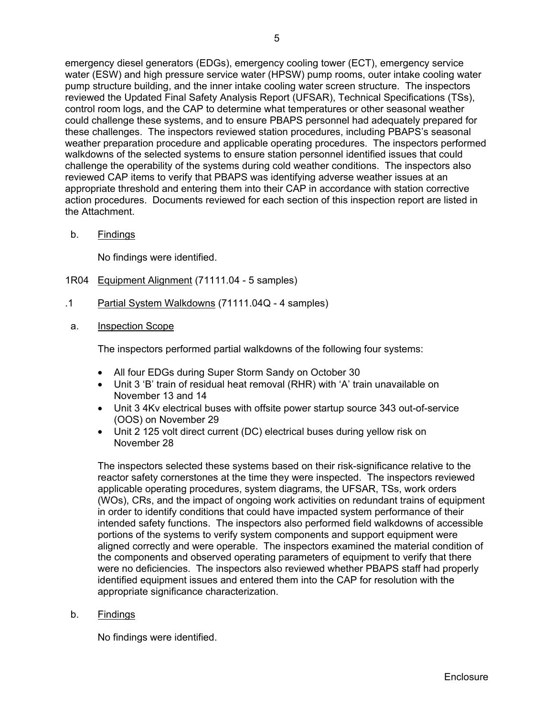emergency diesel generators (EDGs), emergency cooling tower (ECT), emergency service water (ESW) and high pressure service water (HPSW) pump rooms, outer intake cooling water pump structure building, and the inner intake cooling water screen structure. The inspectors reviewed the Updated Final Safety Analysis Report (UFSAR), Technical Specifications (TSs), control room logs, and the CAP to determine what temperatures or other seasonal weather could challenge these systems, and to ensure PBAPS personnel had adequately prepared for these challenges. The inspectors reviewed station procedures, including PBAPS's seasonal weather preparation procedure and applicable operating procedures. The inspectors performed walkdowns of the selected systems to ensure station personnel identified issues that could challenge the operability of the systems during cold weather conditions. The inspectors also reviewed CAP items to verify that PBAPS was identifying adverse weather issues at an appropriate threshold and entering them into their CAP in accordance with station corrective action procedures. Documents reviewed for each section of this inspection report are listed in the Attachment.

b. Findings

No findings were identified.

- 1R04 Equipment Alignment (71111.04 5 samples)
- .1 Partial System Walkdowns (71111.04Q 4 samples)
- a. Inspection Scope

The inspectors performed partial walkdowns of the following four systems:

- All four EDGs during Super Storm Sandy on October 30
- Unit 3 'B' train of residual heat removal (RHR) with 'A' train unavailable on November 13 and 14
- Unit 3 4Kv electrical buses with offsite power startup source 343 out-of-service (OOS) on November 29
- Unit 2 125 volt direct current (DC) electrical buses during yellow risk on November 28

The inspectors selected these systems based on their risk-significance relative to the reactor safety cornerstones at the time they were inspected. The inspectors reviewed applicable operating procedures, system diagrams, the UFSAR, TSs, work orders (WOs), CRs, and the impact of ongoing work activities on redundant trains of equipment in order to identify conditions that could have impacted system performance of their intended safety functions. The inspectors also performed field walkdowns of accessible portions of the systems to verify system components and support equipment were aligned correctly and were operable. The inspectors examined the material condition of the components and observed operating parameters of equipment to verify that there were no deficiencies. The inspectors also reviewed whether PBAPS staff had properly identified equipment issues and entered them into the CAP for resolution with the appropriate significance characterization.

b. Findings

No findings were identified.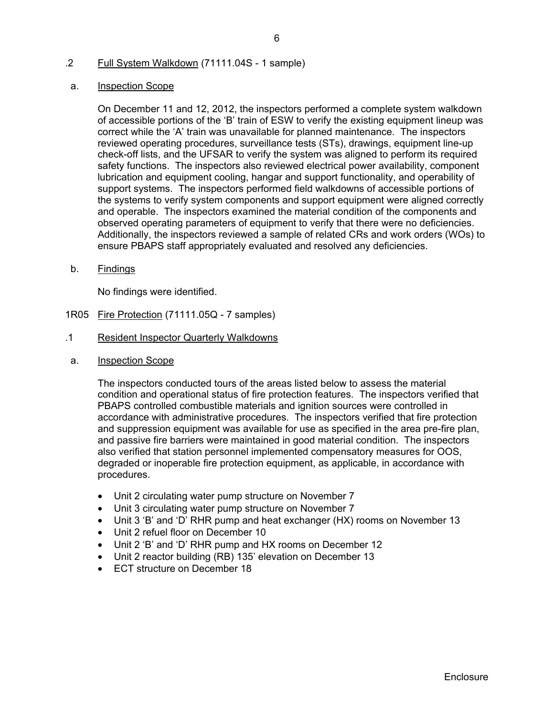## .2 Full System Walkdown (71111.04S - 1 sample)

#### a. Inspection Scope

On December 11 and 12, 2012, the inspectors performed a complete system walkdown of accessible portions of the 'B' train of ESW to verify the existing equipment lineup was correct while the 'A' train was unavailable for planned maintenance. The inspectors reviewed operating procedures, surveillance tests (STs), drawings, equipment line-up check-off lists, and the UFSAR to verify the system was aligned to perform its required safety functions. The inspectors also reviewed electrical power availability, component lubrication and equipment cooling, hangar and support functionality, and operability of support systems. The inspectors performed field walkdowns of accessible portions of the systems to verify system components and support equipment were aligned correctly and operable. The inspectors examined the material condition of the components and observed operating parameters of equipment to verify that there were no deficiencies. Additionally, the inspectors reviewed a sample of related CRs and work orders (WOs) to ensure PBAPS staff appropriately evaluated and resolved any deficiencies.

b. Findings

No findings were identified.

- 1R05 Fire Protection (71111.05Q 7 samples)
- .1 Resident Inspector Quarterly Walkdowns
- a. Inspection Scope

The inspectors conducted tours of the areas listed below to assess the material condition and operational status of fire protection features. The inspectors verified that PBAPS controlled combustible materials and ignition sources were controlled in accordance with administrative procedures. The inspectors verified that fire protection and suppression equipment was available for use as specified in the area pre-fire plan, and passive fire barriers were maintained in good material condition. The inspectors also verified that station personnel implemented compensatory measures for OOS, degraded or inoperable fire protection equipment, as applicable, in accordance with procedures.

- Unit 2 circulating water pump structure on November 7
- Unit 3 circulating water pump structure on November 7
- Unit 3 'B' and 'D' RHR pump and heat exchanger (HX) rooms on November 13
- Unit 2 refuel floor on December 10
- Unit 2 'B' and 'D' RHR pump and HX rooms on December 12
- Unit 2 reactor building (RB) 135' elevation on December 13
- ECT structure on December 18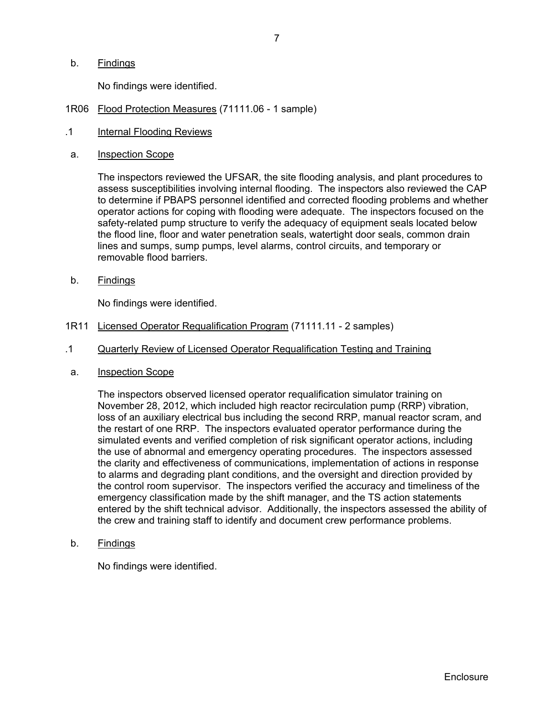b. Findings

No findings were identified.

- 1R06 Flood Protection Measures (71111.06 1 sample)
- .1 Internal Flooding Reviews
- a. Inspection Scope

The inspectors reviewed the UFSAR, the site flooding analysis, and plant procedures to assess susceptibilities involving internal flooding. The inspectors also reviewed the CAP to determine if PBAPS personnel identified and corrected flooding problems and whether operator actions for coping with flooding were adequate. The inspectors focused on the safety-related pump structure to verify the adequacy of equipment seals located below the flood line, floor and water penetration seals, watertight door seals, common drain lines and sumps, sump pumps, level alarms, control circuits, and temporary or removable flood barriers.

b. Findings

No findings were identified.

- 1R11 Licensed Operator Requalification Program (71111.11 2 samples)
- .1 Quarterly Review of Licensed Operator Requalification Testing and Training
- a. Inspection Scope

The inspectors observed licensed operator requalification simulator training on November 28, 2012, which included high reactor recirculation pump (RRP) vibration, loss of an auxiliary electrical bus including the second RRP, manual reactor scram, and the restart of one RRP. The inspectors evaluated operator performance during the simulated events and verified completion of risk significant operator actions, including the use of abnormal and emergency operating procedures. The inspectors assessed the clarity and effectiveness of communications, implementation of actions in response to alarms and degrading plant conditions, and the oversight and direction provided by the control room supervisor. The inspectors verified the accuracy and timeliness of the emergency classification made by the shift manager, and the TS action statements entered by the shift technical advisor. Additionally, the inspectors assessed the ability of the crew and training staff to identify and document crew performance problems.

b. Findings

No findings were identified.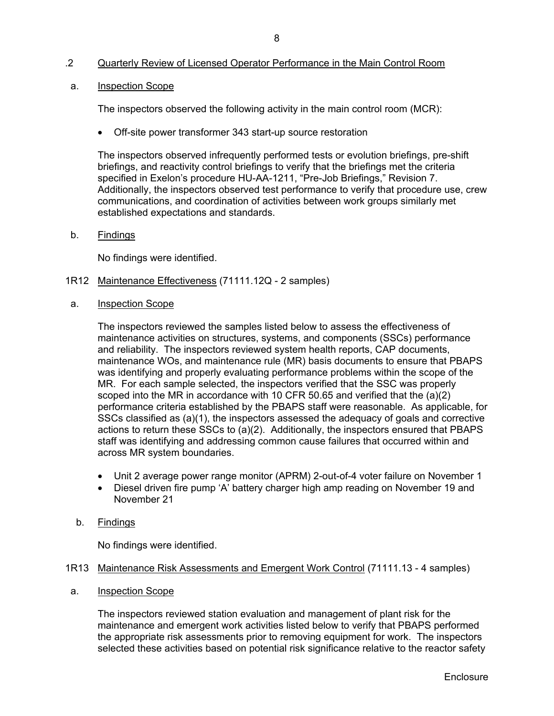## .2 Quarterly Review of Licensed Operator Performance in the Main Control Room

#### a. Inspection Scope

The inspectors observed the following activity in the main control room (MCR):

Off-site power transformer 343 start-up source restoration

The inspectors observed infrequently performed tests or evolution briefings, pre-shift briefings, and reactivity control briefings to verify that the briefings met the criteria specified in Exelon's procedure HU-AA-1211, "Pre-Job Briefings," Revision 7. Additionally, the inspectors observed test performance to verify that procedure use, crew communications, and coordination of activities between work groups similarly met established expectations and standards.

b. Findings

No findings were identified.

- 1R12 Maintenance Effectiveness (71111.12Q 2 samples)
- a. Inspection Scope

The inspectors reviewed the samples listed below to assess the effectiveness of maintenance activities on structures, systems, and components (SSCs) performance and reliability. The inspectors reviewed system health reports, CAP documents, maintenance WOs, and maintenance rule (MR) basis documents to ensure that PBAPS was identifying and properly evaluating performance problems within the scope of the MR. For each sample selected, the inspectors verified that the SSC was properly scoped into the MR in accordance with 10 CFR 50.65 and verified that the  $(a)(2)$ performance criteria established by the PBAPS staff were reasonable. As applicable, for SSCs classified as (a)(1), the inspectors assessed the adequacy of goals and corrective actions to return these SSCs to (a)(2). Additionally, the inspectors ensured that PBAPS staff was identifying and addressing common cause failures that occurred within and across MR system boundaries.

- Unit 2 average power range monitor (APRM) 2-out-of-4 voter failure on November 1
- Diesel driven fire pump 'A' battery charger high amp reading on November 19 and November 21
- b. Findings

No findings were identified.

#### 1R13 Maintenance Risk Assessments and Emergent Work Control (71111.13 - 4 samples)

a. Inspection Scope

The inspectors reviewed station evaluation and management of plant risk for the maintenance and emergent work activities listed below to verify that PBAPS performed the appropriate risk assessments prior to removing equipment for work. The inspectors selected these activities based on potential risk significance relative to the reactor safety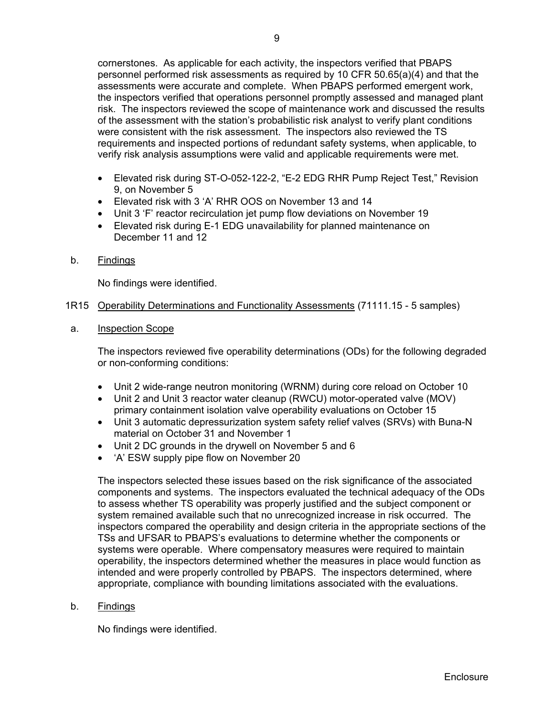cornerstones. As applicable for each activity, the inspectors verified that PBAPS personnel performed risk assessments as required by 10 CFR 50.65(a)(4) and that the assessments were accurate and complete. When PBAPS performed emergent work, the inspectors verified that operations personnel promptly assessed and managed plant risk. The inspectors reviewed the scope of maintenance work and discussed the results of the assessment with the station's probabilistic risk analyst to verify plant conditions were consistent with the risk assessment. The inspectors also reviewed the TS requirements and inspected portions of redundant safety systems, when applicable, to verify risk analysis assumptions were valid and applicable requirements were met.

- Elevated risk during ST-O-052-122-2, "E-2 EDG RHR Pump Reject Test," Revision 9, on November 5
- Elevated risk with 3 'A' RHR OOS on November 13 and 14
- Unit 3 'F' reactor recirculation jet pump flow deviations on November 19
- Elevated risk during E-1 EDG unavailability for planned maintenance on December 11 and 12
- b. Findings

No findings were identified.

- 1R15 Operability Determinations and Functionality Assessments (71111.15 5 samples)
- a. Inspection Scope

The inspectors reviewed five operability determinations (ODs) for the following degraded or non-conforming conditions:

- Unit 2 wide-range neutron monitoring (WRNM) during core reload on October 10
- Unit 2 and Unit 3 reactor water cleanup (RWCU) motor-operated valve (MOV) primary containment isolation valve operability evaluations on October 15
- Unit 3 automatic depressurization system safety relief valves (SRVs) with Buna-N material on October 31 and November 1
- Unit 2 DC grounds in the drywell on November 5 and 6
- 'A' ESW supply pipe flow on November 20

The inspectors selected these issues based on the risk significance of the associated components and systems. The inspectors evaluated the technical adequacy of the ODs to assess whether TS operability was properly justified and the subject component or system remained available such that no unrecognized increase in risk occurred. The inspectors compared the operability and design criteria in the appropriate sections of the TSs and UFSAR to PBAPS's evaluations to determine whether the components or systems were operable. Where compensatory measures were required to maintain operability, the inspectors determined whether the measures in place would function as intended and were properly controlled by PBAPS. The inspectors determined, where appropriate, compliance with bounding limitations associated with the evaluations.

### b. Findings

No findings were identified.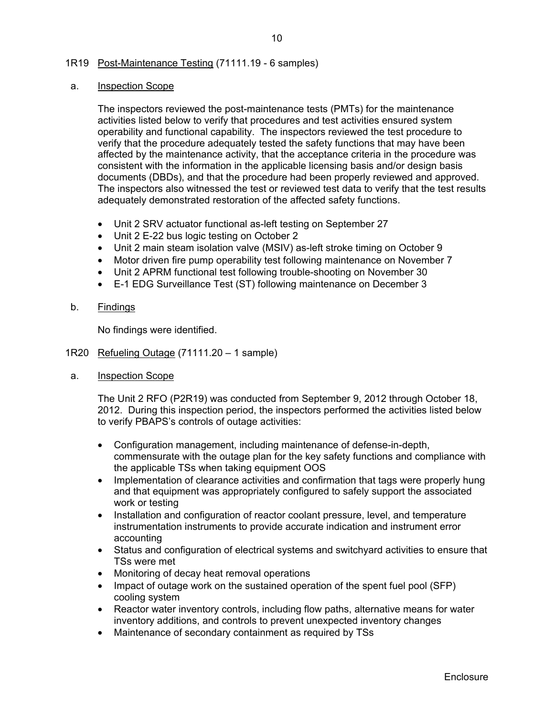### 1R19 Post-Maintenance Testing (71111.19 - 6 samples)

#### a. Inspection Scope

The inspectors reviewed the post-maintenance tests (PMTs) for the maintenance activities listed below to verify that procedures and test activities ensured system operability and functional capability. The inspectors reviewed the test procedure to verify that the procedure adequately tested the safety functions that may have been affected by the maintenance activity, that the acceptance criteria in the procedure was consistent with the information in the applicable licensing basis and/or design basis documents (DBDs), and that the procedure had been properly reviewed and approved. The inspectors also witnessed the test or reviewed test data to verify that the test results adequately demonstrated restoration of the affected safety functions.

- Unit 2 SRV actuator functional as-left testing on September 27
- Unit 2 E-22 bus logic testing on October 2
- Unit 2 main steam isolation valve (MSIV) as-left stroke timing on October 9
- Motor driven fire pump operability test following maintenance on November 7
- Unit 2 APRM functional test following trouble-shooting on November 30
- E-1 EDG Surveillance Test (ST) following maintenance on December 3
- b. Findings

No findings were identified.

- 1R20 Refueling Outage (71111.20 1 sample)
- a. Inspection Scope

The Unit 2 RFO (P2R19) was conducted from September 9, 2012 through October 18, 2012. During this inspection period, the inspectors performed the activities listed below to verify PBAPS's controls of outage activities:

- Configuration management, including maintenance of defense-in-depth, commensurate with the outage plan for the key safety functions and compliance with the applicable TSs when taking equipment OOS
- Implementation of clearance activities and confirmation that tags were properly hung and that equipment was appropriately configured to safely support the associated work or testing
- Installation and configuration of reactor coolant pressure, level, and temperature instrumentation instruments to provide accurate indication and instrument error accounting
- Status and configuration of electrical systems and switchyard activities to ensure that TSs were met
- Monitoring of decay heat removal operations
- Impact of outage work on the sustained operation of the spent fuel pool (SFP) cooling system
- Reactor water inventory controls, including flow paths, alternative means for water inventory additions, and controls to prevent unexpected inventory changes
- Maintenance of secondary containment as required by TSs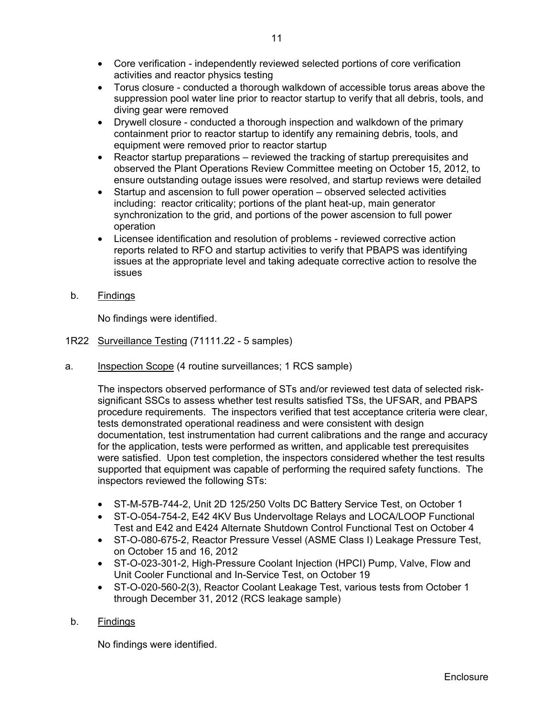- Torus closure conducted a thorough walkdown of accessible torus areas above the suppression pool water line prior to reactor startup to verify that all debris, tools, and diving gear were removed
- Drywell closure conducted a thorough inspection and walkdown of the primary containment prior to reactor startup to identify any remaining debris, tools, and equipment were removed prior to reactor startup
- Reactor startup preparations reviewed the tracking of startup prerequisites and observed the Plant Operations Review Committee meeting on October 15, 2012, to ensure outstanding outage issues were resolved, and startup reviews were detailed
- Startup and ascension to full power operation observed selected activities including: reactor criticality; portions of the plant heat-up, main generator synchronization to the grid, and portions of the power ascension to full power operation
- Licensee identification and resolution of problems reviewed corrective action reports related to RFO and startup activities to verify that PBAPS was identifying issues at the appropriate level and taking adequate corrective action to resolve the issues
- b. Findings

No findings were identified.

- 1R22 Surveillance Testing (71111.22 5 samples)
- a. Inspection Scope (4 routine surveillances; 1 RCS sample)

The inspectors observed performance of STs and/or reviewed test data of selected risksignificant SSCs to assess whether test results satisfied TSs, the UFSAR, and PBAPS procedure requirements. The inspectors verified that test acceptance criteria were clear, tests demonstrated operational readiness and were consistent with design documentation, test instrumentation had current calibrations and the range and accuracy for the application, tests were performed as written, and applicable test prerequisites were satisfied. Upon test completion, the inspectors considered whether the test results supported that equipment was capable of performing the required safety functions. The inspectors reviewed the following STs:

- ST-M-57B-744-2, Unit 2D 125/250 Volts DC Battery Service Test, on October 1
- ST-O-054-754-2, E42 4KV Bus Undervoltage Relays and LOCA/LOOP Functional Test and E42 and E424 Alternate Shutdown Control Functional Test on October 4
- ST-O-080-675-2, Reactor Pressure Vessel (ASME Class I) Leakage Pressure Test, on October 15 and 16, 2012
- ST-O-023-301-2, High-Pressure Coolant Injection (HPCI) Pump, Valve, Flow and Unit Cooler Functional and In-Service Test, on October 19
- ST-O-020-560-2(3), Reactor Coolant Leakage Test, various tests from October 1 through December 31, 2012 (RCS leakage sample)

## b. Findings

No findings were identified.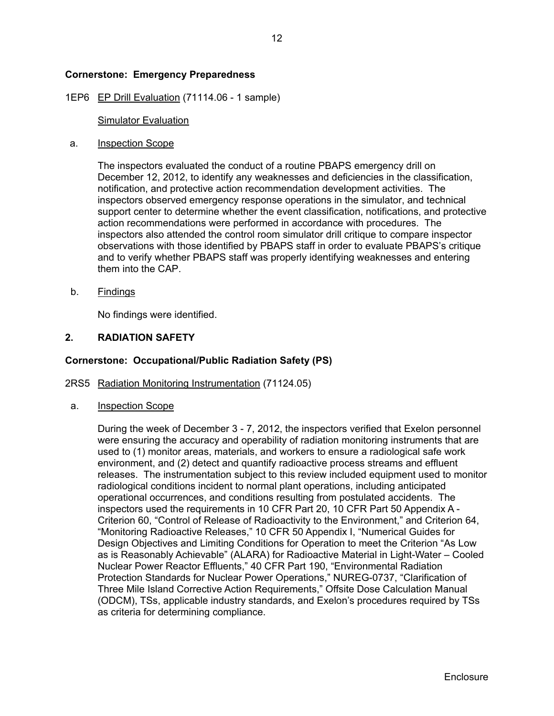### **Cornerstone: Emergency Preparedness**

#### 1EP6 EP Drill Evaluation (71114.06 - 1 sample)

#### Simulator Evaluation

#### a. Inspection Scope

The inspectors evaluated the conduct of a routine PBAPS emergency drill on December 12, 2012, to identify any weaknesses and deficiencies in the classification, notification, and protective action recommendation development activities. The inspectors observed emergency response operations in the simulator, and technical support center to determine whether the event classification, notifications, and protective action recommendations were performed in accordance with procedures. The inspectors also attended the control room simulator drill critique to compare inspector observations with those identified by PBAPS staff in order to evaluate PBAPS's critique and to verify whether PBAPS staff was properly identifying weaknesses and entering them into the CAP.

b. Findings

No findings were identified.

#### **2. RADIATION SAFETY**

#### **Cornerstone: Occupational/Public Radiation Safety (PS)**

#### 2RS5 Radiation Monitoring Instrumentation (71124.05)

a. Inspection Scope

During the week of December 3 - 7, 2012, the inspectors verified that Exelon personnel were ensuring the accuracy and operability of radiation monitoring instruments that are used to (1) monitor areas, materials, and workers to ensure a radiological safe work environment, and (2) detect and quantify radioactive process streams and effluent releases. The instrumentation subject to this review included equipment used to monitor radiological conditions incident to normal plant operations, including anticipated operational occurrences, and conditions resulting from postulated accidents. The inspectors used the requirements in 10 CFR Part 20, 10 CFR Part 50 Appendix A - Criterion 60, "Control of Release of Radioactivity to the Environment," and Criterion 64, "Monitoring Radioactive Releases," 10 CFR 50 Appendix I, "Numerical Guides for Design Objectives and Limiting Conditions for Operation to meet the Criterion "As Low as is Reasonably Achievable" (ALARA) for Radioactive Material in Light-Water – Cooled Nuclear Power Reactor Effluents," 40 CFR Part 190, "Environmental Radiation Protection Standards for Nuclear Power Operations," NUREG-0737, "Clarification of Three Mile Island Corrective Action Requirements," Offsite Dose Calculation Manual (ODCM), TSs, applicable industry standards, and Exelon's procedures required by TSs as criteria for determining compliance.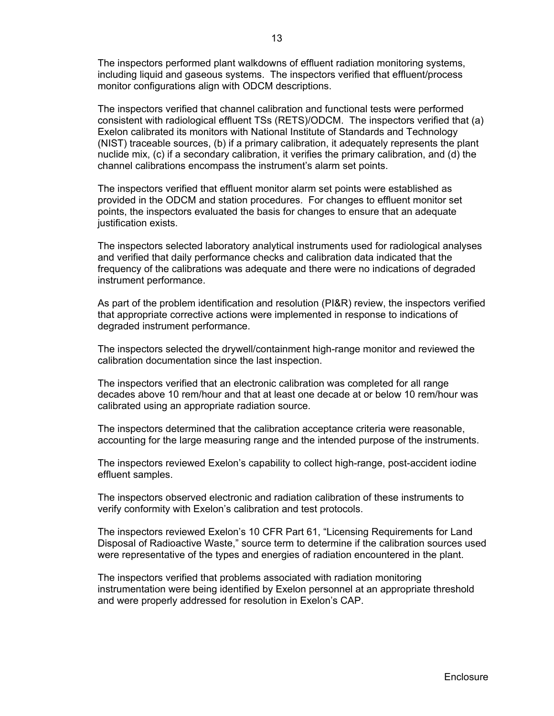The inspectors performed plant walkdowns of effluent radiation monitoring systems, including liquid and gaseous systems. The inspectors verified that effluent/process monitor configurations align with ODCM descriptions.

The inspectors verified that channel calibration and functional tests were performed consistent with radiological effluent TSs (RETS)/ODCM. The inspectors verified that (a) Exelon calibrated its monitors with National Institute of Standards and Technology (NIST) traceable sources, (b) if a primary calibration, it adequately represents the plant nuclide mix, (c) if a secondary calibration, it verifies the primary calibration, and (d) the channel calibrations encompass the instrument's alarm set points.

The inspectors verified that effluent monitor alarm set points were established as provided in the ODCM and station procedures. For changes to effluent monitor set points, the inspectors evaluated the basis for changes to ensure that an adequate justification exists.

The inspectors selected laboratory analytical instruments used for radiological analyses and verified that daily performance checks and calibration data indicated that the frequency of the calibrations was adequate and there were no indications of degraded instrument performance.

As part of the problem identification and resolution (PI&R) review, the inspectors verified that appropriate corrective actions were implemented in response to indications of degraded instrument performance.

The inspectors selected the drywell/containment high-range monitor and reviewed the calibration documentation since the last inspection.

The inspectors verified that an electronic calibration was completed for all range decades above 10 rem/hour and that at least one decade at or below 10 rem/hour was calibrated using an appropriate radiation source.

The inspectors determined that the calibration acceptance criteria were reasonable, accounting for the large measuring range and the intended purpose of the instruments.

The inspectors reviewed Exelon's capability to collect high-range, post-accident iodine effluent samples.

The inspectors observed electronic and radiation calibration of these instruments to verify conformity with Exelon's calibration and test protocols.

The inspectors reviewed Exelon's 10 CFR Part 61, "Licensing Requirements for Land Disposal of Radioactive Waste," source term to determine if the calibration sources used were representative of the types and energies of radiation encountered in the plant.

The inspectors verified that problems associated with radiation monitoring instrumentation were being identified by Exelon personnel at an appropriate threshold and were properly addressed for resolution in Exelon's CAP.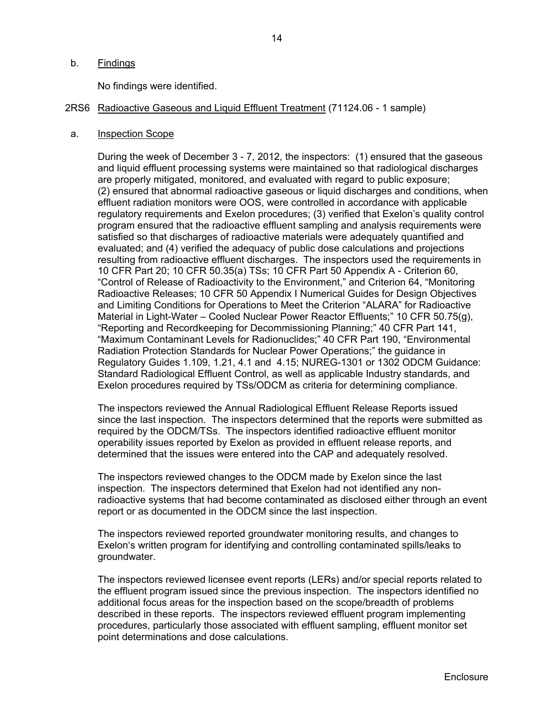### b. Findings

No findings were identified.

#### 2RS6 Radioactive Gaseous and Liquid Effluent Treatment (71124.06 - 1 sample)

#### a. Inspection Scope

During the week of December 3 - 7, 2012, the inspectors: (1) ensured that the gaseous and liquid effluent processing systems were maintained so that radiological discharges are properly mitigated, monitored, and evaluated with regard to public exposure; (2) ensured that abnormal radioactive gaseous or liquid discharges and conditions, when effluent radiation monitors were OOS, were controlled in accordance with applicable regulatory requirements and Exelon procedures; (3) verified that Exelon's quality control program ensured that the radioactive effluent sampling and analysis requirements were satisfied so that discharges of radioactive materials were adequately quantified and evaluated; and (4) verified the adequacy of public dose calculations and projections resulting from radioactive effluent discharges. The inspectors used the requirements in 10 CFR Part 20; 10 CFR 50.35(a) TSs; 10 CFR Part 50 Appendix A - Criterion 60, "Control of Release of Radioactivity to the Environment," and Criterion 64, "Monitoring Radioactive Releases; 10 CFR 50 Appendix I Numerical Guides for Design Objectives and Limiting Conditions for Operations to Meet the Criterion "ALARA" for Radioactive Material in Light-Water – Cooled Nuclear Power Reactor Effluents;" 10 CFR 50.75(g), "Reporting and Recordkeeping for Decommissioning Planning;" 40 CFR Part 141, "Maximum Contaminant Levels for Radionuclides;" 40 CFR Part 190, "Environmental Radiation Protection Standards for Nuclear Power Operations;" the guidance in Regulatory Guides 1.109, 1.21, 4.1 and 4.15; NUREG-1301 or 1302 ODCM Guidance: Standard Radiological Effluent Control, as well as applicable Industry standards, and Exelon procedures required by TSs/ODCM as criteria for determining compliance.

The inspectors reviewed the Annual Radiological Effluent Release Reports issued since the last inspection. The inspectors determined that the reports were submitted as required by the ODCM/TSs. The inspectors identified radioactive effluent monitor operability issues reported by Exelon as provided in effluent release reports, and determined that the issues were entered into the CAP and adequately resolved.

The inspectors reviewed changes to the ODCM made by Exelon since the last inspection. The inspectors determined that Exelon had not identified any nonradioactive systems that had become contaminated as disclosed either through an event report or as documented in the ODCM since the last inspection.

The inspectors reviewed reported groundwater monitoring results, and changes to Exelon's written program for identifying and controlling contaminated spills/leaks to groundwater.

The inspectors reviewed licensee event reports (LERs) and/or special reports related to the effluent program issued since the previous inspection. The inspectors identified no additional focus areas for the inspection based on the scope/breadth of problems described in these reports. The inspectors reviewed effluent program implementing procedures, particularly those associated with effluent sampling, effluent monitor set point determinations and dose calculations.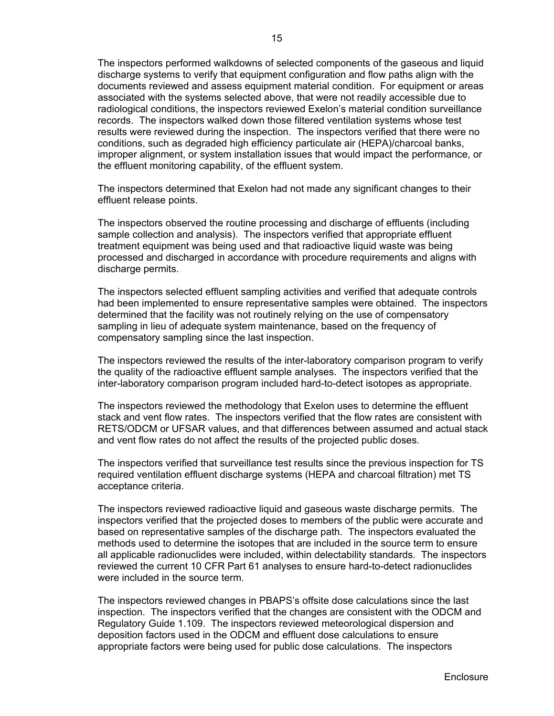The inspectors performed walkdowns of selected components of the gaseous and liquid discharge systems to verify that equipment configuration and flow paths align with the documents reviewed and assess equipment material condition. For equipment or areas associated with the systems selected above, that were not readily accessible due to radiological conditions, the inspectors reviewed Exelon's material condition surveillance records. The inspectors walked down those filtered ventilation systems whose test results were reviewed during the inspection. The inspectors verified that there were no conditions, such as degraded high efficiency particulate air (HEPA)/charcoal banks, improper alignment, or system installation issues that would impact the performance, or the effluent monitoring capability, of the effluent system.

The inspectors determined that Exelon had not made any significant changes to their effluent release points.

The inspectors observed the routine processing and discharge of effluents (including sample collection and analysis). The inspectors verified that appropriate effluent treatment equipment was being used and that radioactive liquid waste was being processed and discharged in accordance with procedure requirements and aligns with discharge permits.

The inspectors selected effluent sampling activities and verified that adequate controls had been implemented to ensure representative samples were obtained. The inspectors determined that the facility was not routinely relying on the use of compensatory sampling in lieu of adequate system maintenance, based on the frequency of compensatory sampling since the last inspection.

The inspectors reviewed the results of the inter-laboratory comparison program to verify the quality of the radioactive effluent sample analyses. The inspectors verified that the inter-laboratory comparison program included hard-to-detect isotopes as appropriate.

The inspectors reviewed the methodology that Exelon uses to determine the effluent stack and vent flow rates. The inspectors verified that the flow rates are consistent with RETS/ODCM or UFSAR values, and that differences between assumed and actual stack and vent flow rates do not affect the results of the projected public doses.

The inspectors verified that surveillance test results since the previous inspection for TS required ventilation effluent discharge systems (HEPA and charcoal filtration) met TS acceptance criteria.

The inspectors reviewed radioactive liquid and gaseous waste discharge permits. The inspectors verified that the projected doses to members of the public were accurate and based on representative samples of the discharge path. The inspectors evaluated the methods used to determine the isotopes that are included in the source term to ensure all applicable radionuclides were included, within delectability standards. The inspectors reviewed the current 10 CFR Part 61 analyses to ensure hard-to-detect radionuclides were included in the source term.

The inspectors reviewed changes in PBAPS's offsite dose calculations since the last inspection. The inspectors verified that the changes are consistent with the ODCM and Regulatory Guide 1.109. The inspectors reviewed meteorological dispersion and deposition factors used in the ODCM and effluent dose calculations to ensure appropriate factors were being used for public dose calculations. The inspectors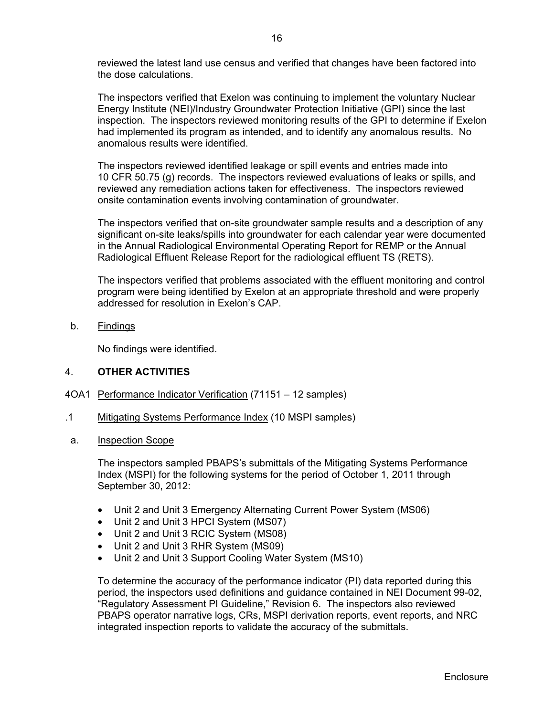reviewed the latest land use census and verified that changes have been factored into the dose calculations.

The inspectors verified that Exelon was continuing to implement the voluntary Nuclear Energy Institute (NEI)/Industry Groundwater Protection Initiative (GPI) since the last inspection. The inspectors reviewed monitoring results of the GPI to determine if Exelon had implemented its program as intended, and to identify any anomalous results. No anomalous results were identified.

The inspectors reviewed identified leakage or spill events and entries made into 10 CFR 50.75 (g) records. The inspectors reviewed evaluations of leaks or spills, and reviewed any remediation actions taken for effectiveness. The inspectors reviewed onsite contamination events involving contamination of groundwater.

The inspectors verified that on-site groundwater sample results and a description of any significant on-site leaks/spills into groundwater for each calendar year were documented in the Annual Radiological Environmental Operating Report for REMP or the Annual Radiological Effluent Release Report for the radiological effluent TS (RETS).

The inspectors verified that problems associated with the effluent monitoring and control program were being identified by Exelon at an appropriate threshold and were properly addressed for resolution in Exelon's CAP.

b. Findings

No findings were identified.

### 4. **OTHER ACTIVITIES**

- 4OA1 Performance Indicator Verification (71151 12 samples)
- .1 Mitigating Systems Performance Index (10 MSPI samples)
- a. Inspection Scope

The inspectors sampled PBAPS's submittals of the Mitigating Systems Performance Index (MSPI) for the following systems for the period of October 1, 2011 through September 30, 2012:

- Unit 2 and Unit 3 Emergency Alternating Current Power System (MS06)
- Unit 2 and Unit 3 HPCI System (MS07)
- Unit 2 and Unit 3 RCIC System (MS08)
- Unit 2 and Unit 3 RHR System (MS09)
- Unit 2 and Unit 3 Support Cooling Water System (MS10)

To determine the accuracy of the performance indicator (PI) data reported during this period, the inspectors used definitions and guidance contained in NEI Document 99-02, "Regulatory Assessment PI Guideline," Revision 6. The inspectors also reviewed PBAPS operator narrative logs, CRs, MSPI derivation reports, event reports, and NRC integrated inspection reports to validate the accuracy of the submittals.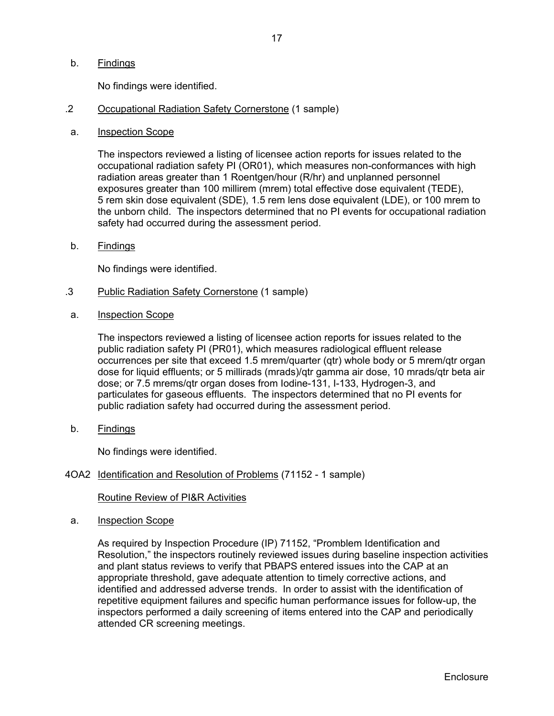No findings were identified.

- .2 Occupational Radiation Safety Cornerstone (1 sample)
- a. Inspection Scope

The inspectors reviewed a listing of licensee action reports for issues related to the occupational radiation safety PI (OR01), which measures non-conformances with high radiation areas greater than 1 Roentgen/hour (R/hr) and unplanned personnel exposures greater than 100 millirem (mrem) total effective dose equivalent (TEDE), 5 rem skin dose equivalent (SDE), 1.5 rem lens dose equivalent (LDE), or 100 mrem to the unborn child. The inspectors determined that no PI events for occupational radiation safety had occurred during the assessment period.

b. Findings

No findings were identified.

- .3 Public Radiation Safety Cornerstone (1 sample)
- a. Inspection Scope

The inspectors reviewed a listing of licensee action reports for issues related to the public radiation safety PI (PR01), which measures radiological effluent release occurrences per site that exceed 1.5 mrem/quarter (qtr) whole body or 5 mrem/qtr organ dose for liquid effluents; or 5 millirads (mrads)/qtr gamma air dose, 10 mrads/qtr beta air dose; or 7.5 mrems/qtr organ doses from Iodine-131, I-133, Hydrogen-3, and particulates for gaseous effluents. The inspectors determined that no PI events for public radiation safety had occurred during the assessment period.

b. Findings

No findings were identified.

4OA2 Identification and Resolution of Problems (71152 - 1 sample)

### Routine Review of PI&R Activities

a. Inspection Scope

As required by Inspection Procedure (IP) 71152, "Promblem Identification and Resolution," the inspectors routinely reviewed issues during baseline inspection activities and plant status reviews to verify that PBAPS entered issues into the CAP at an appropriate threshold, gave adequate attention to timely corrective actions, and identified and addressed adverse trends. In order to assist with the identification of repetitive equipment failures and specific human performance issues for follow-up, the inspectors performed a daily screening of items entered into the CAP and periodically attended CR screening meetings.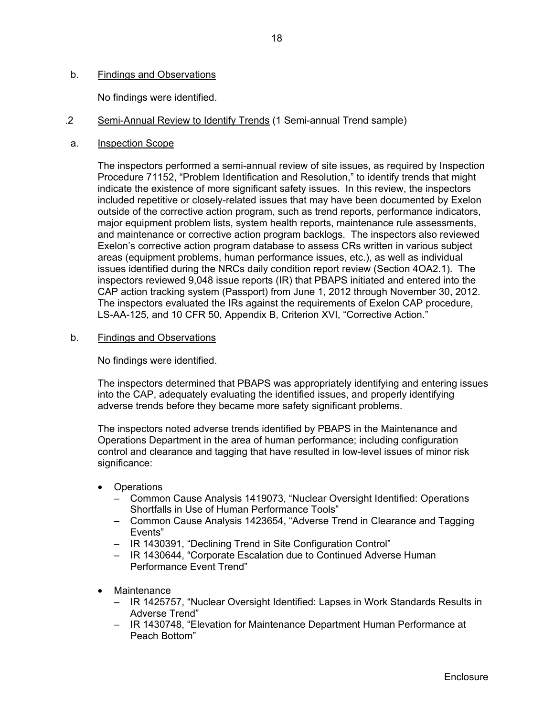## b. Findings and Observations

No findings were identified.

- .2 Semi-Annual Review to Identify Trends (1 Semi-annual Trend sample)
- a. Inspection Scope

The inspectors performed a semi-annual review of site issues, as required by Inspection Procedure 71152, "Problem Identification and Resolution," to identify trends that might indicate the existence of more significant safety issues. In this review, the inspectors included repetitive or closely-related issues that may have been documented by Exelon outside of the corrective action program, such as trend reports, performance indicators, major equipment problem lists, system health reports, maintenance rule assessments, and maintenance or corrective action program backlogs. The inspectors also reviewed Exelon's corrective action program database to assess CRs written in various subject areas (equipment problems, human performance issues, etc.), as well as individual issues identified during the NRCs daily condition report review (Section 4OA2.1). The inspectors reviewed 9,048 issue reports (IR) that PBAPS initiated and entered into the CAP action tracking system (Passport) from June 1, 2012 through November 30, 2012. The inspectors evaluated the IRs against the requirements of Exelon CAP procedure, LS-AA-125, and 10 CFR 50, Appendix B, Criterion XVI, "Corrective Action."

b. Findings and Observations

No findings were identified.

The inspectors determined that PBAPS was appropriately identifying and entering issues into the CAP, adequately evaluating the identified issues, and properly identifying adverse trends before they became more safety significant problems.

The inspectors noted adverse trends identified by PBAPS in the Maintenance and Operations Department in the area of human performance; including configuration control and clearance and tagging that have resulted in low-level issues of minor risk significance:

- Operations
	- Common Cause Analysis 1419073, "Nuclear Oversight Identified: Operations Shortfalls in Use of Human Performance Tools"
	- Common Cause Analysis 1423654, "Adverse Trend in Clearance and Tagging Events"
	- IR 1430391, "Declining Trend in Site Configuration Control"
	- IR 1430644, "Corporate Escalation due to Continued Adverse Human Performance Event Trend"
- Maintenance
	- IR 1425757, "Nuclear Oversight Identified: Lapses in Work Standards Results in Adverse Trend"
	- IR 1430748, "Elevation for Maintenance Department Human Performance at Peach Bottom"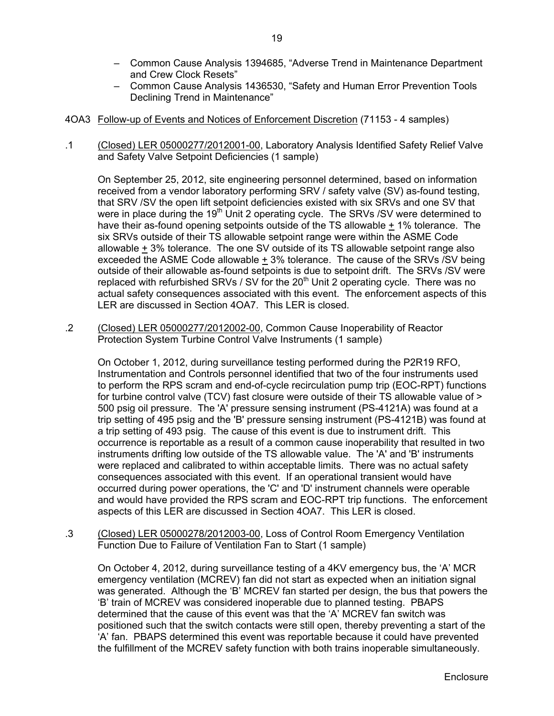- Common Cause Analysis 1394685, "Adverse Trend in Maintenance Department and Crew Clock Resets"
- Common Cause Analysis 1436530, "Safety and Human Error Prevention Tools Declining Trend in Maintenance"
- 4OA3 Follow-up of Events and Notices of Enforcement Discretion (71153 4 samples)
- .1 (Closed) LER 05000277/2012001-00, Laboratory Analysis Identified Safety Relief Valve and Safety Valve Setpoint Deficiencies (1 sample)

On September 25, 2012, site engineering personnel determined, based on information received from a vendor laboratory performing SRV / safety valve (SV) as-found testing, that SRV /SV the open lift setpoint deficiencies existed with six SRVs and one SV that were in place during the 19<sup>th</sup> Unit 2 operating cycle. The SRVs /SV were determined to have their as-found opening setpoints outside of the TS allowable + 1% tolerance. The six SRVs outside of their TS allowable setpoint range were within the ASME Code allowable  $\pm$  3% tolerance. The one SV outside of its TS allowable setpoint range also exceeded the ASME Code allowable + 3% tolerance. The cause of the SRVs /SV being outside of their allowable as-found setpoints is due to setpoint drift. The SRVs /SV were replaced with refurbished SRVs / SV for the  $20<sup>th</sup>$  Unit 2 operating cycle. There was no actual safety consequences associated with this event. The enforcement aspects of this LER are discussed in Section 4OA7. This LER is closed.

.2 (Closed) LER 05000277/2012002-00, Common Cause Inoperability of Reactor Protection System Turbine Control Valve Instruments (1 sample)

On October 1, 2012, during surveillance testing performed during the P2R19 RFO, Instrumentation and Controls personnel identified that two of the four instruments used to perform the RPS scram and end-of-cycle recirculation pump trip (EOC-RPT) functions for turbine control valve (TCV) fast closure were outside of their TS allowable value of > 500 psig oil pressure. The 'A' pressure sensing instrument (PS-4121A) was found at a trip setting of 495 psig and the 'B' pressure sensing instrument (PS-4121B) was found at a trip setting of 493 psig. The cause of this event is due to instrument drift. This occurrence is reportable as a result of a common cause inoperability that resulted in two instruments drifting low outside of the TS allowable value. The 'A' and 'B' instruments were replaced and calibrated to within acceptable limits. There was no actual safety consequences associated with this event. If an operational transient would have occurred during power operations, the 'C' and 'D' instrument channels were operable and would have provided the RPS scram and EOC-RPT trip functions. The enforcement aspects of this LER are discussed in Section 4OA7. This LER is closed.

.3 (Closed) LER 05000278/2012003-00, Loss of Control Room Emergency Ventilation Function Due to Failure of Ventilation Fan to Start (1 sample)

On October 4, 2012, during surveillance testing of a 4KV emergency bus, the 'A' MCR emergency ventilation (MCREV) fan did not start as expected when an initiation signal was generated. Although the 'B' MCREV fan started per design, the bus that powers the 'B' train of MCREV was considered inoperable due to planned testing. PBAPS determined that the cause of this event was that the 'A' MCREV fan switch was positioned such that the switch contacts were still open, thereby preventing a start of the 'A' fan. PBAPS determined this event was reportable because it could have prevented the fulfillment of the MCREV safety function with both trains inoperable simultaneously.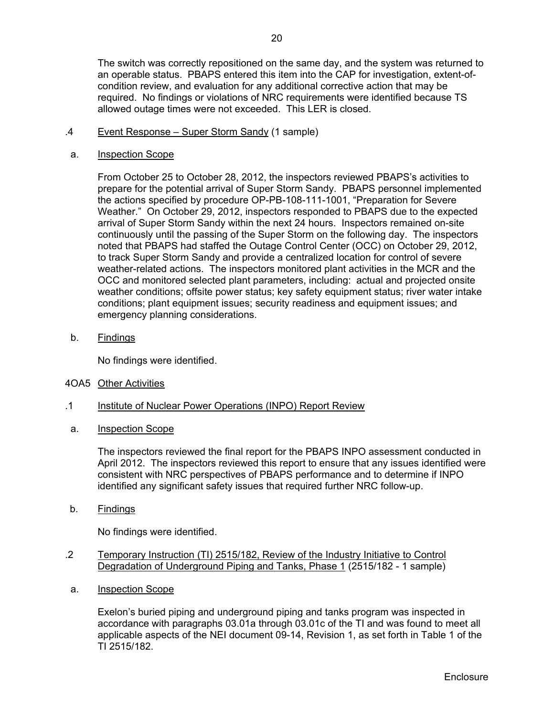The switch was correctly repositioned on the same day, and the system was returned to an operable status. PBAPS entered this item into the CAP for investigation, extent-ofcondition review, and evaluation for any additional corrective action that may be required. No findings or violations of NRC requirements were identified because TS allowed outage times were not exceeded. This LER is closed.

- .4 Event Response Super Storm Sandy (1 sample)
- a. Inspection Scope

From October 25 to October 28, 2012, the inspectors reviewed PBAPS's activities to prepare for the potential arrival of Super Storm Sandy. PBAPS personnel implemented the actions specified by procedure OP-PB-108-111-1001, "Preparation for Severe Weather." On October 29, 2012, inspectors responded to PBAPS due to the expected arrival of Super Storm Sandy within the next 24 hours. Inspectors remained on-site continuously until the passing of the Super Storm on the following day. The inspectors noted that PBAPS had staffed the Outage Control Center (OCC) on October 29, 2012, to track Super Storm Sandy and provide a centralized location for control of severe weather-related actions. The inspectors monitored plant activities in the MCR and the OCC and monitored selected plant parameters, including: actual and projected onsite weather conditions; offsite power status; key safety equipment status; river water intake conditions; plant equipment issues; security readiness and equipment issues; and emergency planning considerations.

b. Findings

No findings were identified.

- 4OA5 Other Activities
- .1 Institute of Nuclear Power Operations (INPO) Report Review
- a. Inspection Scope

The inspectors reviewed the final report for the PBAPS INPO assessment conducted in April 2012. The inspectors reviewed this report to ensure that any issues identified were consistent with NRC perspectives of PBAPS performance and to determine if INPO identified any significant safety issues that required further NRC follow-up.

b. Findings

No findings were identified.

- .2 Temporary Instruction (TI) 2515/182, Review of the Industry Initiative to Control Degradation of Underground Piping and Tanks, Phase 1 (2515/182 - 1 sample)
- a. Inspection Scope

Exelon's buried piping and underground piping and tanks program was inspected in accordance with paragraphs 03.01a through 03.01c of the TI and was found to meet all applicable aspects of the NEI document 09-14, Revision 1, as set forth in Table 1 of the TI 2515/182.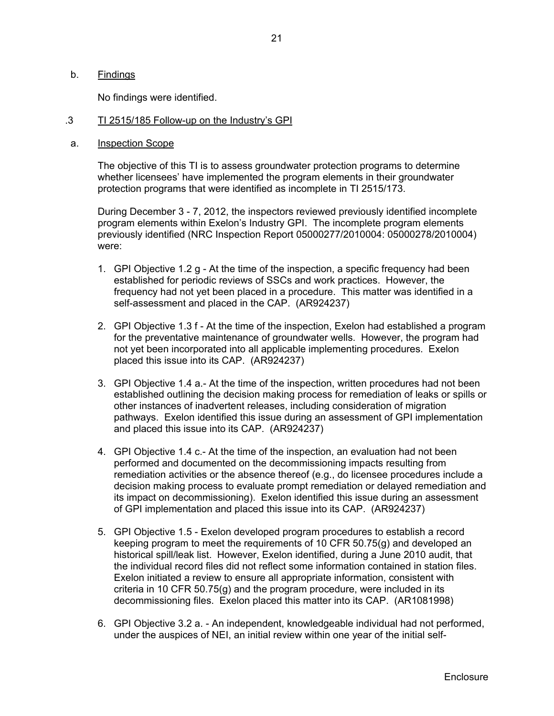## b. Findings

No findings were identified.

#### .3 TI 2515/185 Follow-up on the Industry's GPI

#### a. Inspection Scope

The objective of this TI is to assess groundwater protection programs to determine whether licensees' have implemented the program elements in their groundwater protection programs that were identified as incomplete in TI 2515/173.

During December 3 - 7, 2012, the inspectors reviewed previously identified incomplete program elements within Exelon's Industry GPI. The incomplete program elements previously identified (NRC Inspection Report 05000277/2010004: 05000278/2010004) were:

- 1. GPI Objective 1.2 g At the time of the inspection, a specific frequency had been established for periodic reviews of SSCs and work practices. However, the frequency had not yet been placed in a procedure. This matter was identified in a self-assessment and placed in the CAP. (AR924237)
- 2. GPI Objective 1.3 f At the time of the inspection, Exelon had established a program for the preventative maintenance of groundwater wells. However, the program had not yet been incorporated into all applicable implementing procedures. Exelon placed this issue into its CAP. (AR924237)
- 3. GPI Objective 1.4 a.- At the time of the inspection, written procedures had not been established outlining the decision making process for remediation of leaks or spills or other instances of inadvertent releases, including consideration of migration pathways. Exelon identified this issue during an assessment of GPI implementation and placed this issue into its CAP. (AR924237)
- 4. GPI Objective 1.4 c.- At the time of the inspection, an evaluation had not been performed and documented on the decommissioning impacts resulting from remediation activities or the absence thereof (e.g., do licensee procedures include a decision making process to evaluate prompt remediation or delayed remediation and its impact on decommissioning). Exelon identified this issue during an assessment of GPI implementation and placed this issue into its CAP. (AR924237)
- 5. GPI Objective 1.5 Exelon developed program procedures to establish a record keeping program to meet the requirements of 10 CFR 50.75(g) and developed an historical spill/leak list. However, Exelon identified, during a June 2010 audit, that the individual record files did not reflect some information contained in station files. Exelon initiated a review to ensure all appropriate information, consistent with criteria in 10 CFR 50.75(g) and the program procedure, were included in its decommissioning files. Exelon placed this matter into its CAP. (AR1081998)
- 6. GPI Objective 3.2 a. An independent, knowledgeable individual had not performed, under the auspices of NEI, an initial review within one year of the initial self-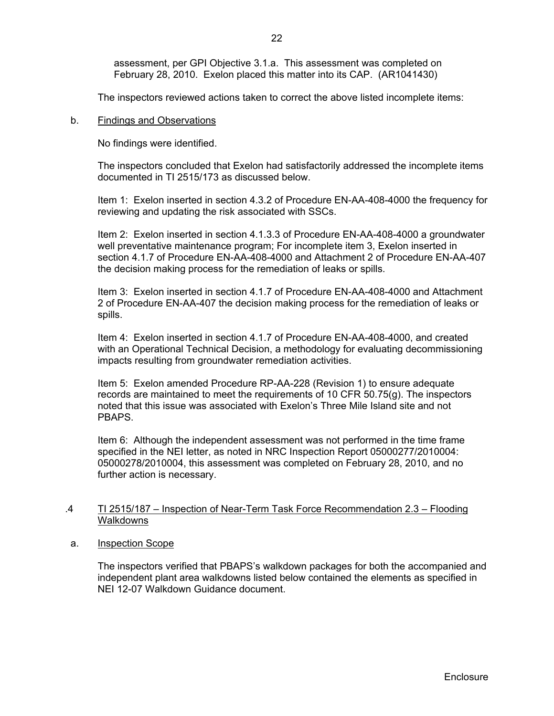The inspectors reviewed actions taken to correct the above listed incomplete items:

### b. Findings and Observations

No findings were identified.

The inspectors concluded that Exelon had satisfactorily addressed the incomplete items documented in TI 2515/173 as discussed below.

Item 1: Exelon inserted in section 4.3.2 of Procedure EN-AA-408-4000 the frequency for reviewing and updating the risk associated with SSCs.

Item 2: Exelon inserted in section 4.1.3.3 of Procedure EN-AA-408-4000 a groundwater well preventative maintenance program; For incomplete item 3, Exelon inserted in section 4.1.7 of Procedure EN-AA-408-4000 and Attachment 2 of Procedure EN-AA-407 the decision making process for the remediation of leaks or spills.

Item 3: Exelon inserted in section 4.1.7 of Procedure EN-AA-408-4000 and Attachment 2 of Procedure EN-AA-407 the decision making process for the remediation of leaks or spills.

Item 4: Exelon inserted in section 4.1.7 of Procedure EN-AA-408-4000, and created with an Operational Technical Decision, a methodology for evaluating decommissioning impacts resulting from groundwater remediation activities.

Item 5: Exelon amended Procedure RP-AA-228 (Revision 1) to ensure adequate records are maintained to meet the requirements of 10 CFR 50.75(g). The inspectors noted that this issue was associated with Exelon's Three Mile Island site and not PBAPS.

Item 6: Although the independent assessment was not performed in the time frame specified in the NEI letter, as noted in NRC Inspection Report 05000277/2010004: 05000278/2010004, this assessment was completed on February 28, 2010, and no further action is necessary.

### .4 TI 2515/187 – Inspection of Near-Term Task Force Recommendation 2.3 – Flooding Walkdowns

### a. Inspection Scope

The inspectors verified that PBAPS's walkdown packages for both the accompanied and independent plant area walkdowns listed below contained the elements as specified in NEI 12-07 Walkdown Guidance document.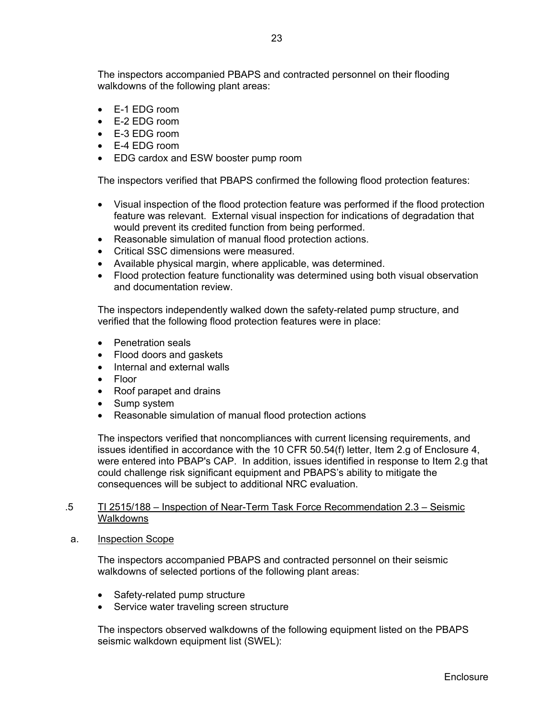The inspectors accompanied PBAPS and contracted personnel on their flooding walkdowns of the following plant areas:

- E-1 EDG room
- $\bullet$  F-2 FDG room
- E-3 EDG room
- E-4 EDG room
- EDG cardox and ESW booster pump room

The inspectors verified that PBAPS confirmed the following flood protection features:

- Visual inspection of the flood protection feature was performed if the flood protection feature was relevant. External visual inspection for indications of degradation that would prevent its credited function from being performed.
- Reasonable simulation of manual flood protection actions.
- Critical SSC dimensions were measured.
- Available physical margin, where applicable, was determined.
- Flood protection feature functionality was determined using both visual observation and documentation review.

The inspectors independently walked down the safety-related pump structure, and verified that the following flood protection features were in place:

- Penetration seals
- Flood doors and gaskets
- Internal and external walls
- Floor
- Roof parapet and drains
- Sump system
- Reasonable simulation of manual flood protection actions

The inspectors verified that noncompliances with current licensing requirements, and issues identified in accordance with the 10 CFR 50.54(f) letter, Item 2.g of Enclosure 4, were entered into PBAP's CAP. In addition, issues identified in response to Item 2.g that could challenge risk significant equipment and PBAPS's ability to mitigate the consequences will be subject to additional NRC evaluation.

## .5 TI 2515/188 – Inspection of Near-Term Task Force Recommendation 2.3 – Seismic Walkdowns

#### a. Inspection Scope

The inspectors accompanied PBAPS and contracted personnel on their seismic walkdowns of selected portions of the following plant areas:

- Safety-related pump structure
- Service water traveling screen structure

The inspectors observed walkdowns of the following equipment listed on the PBAPS seismic walkdown equipment list (SWEL):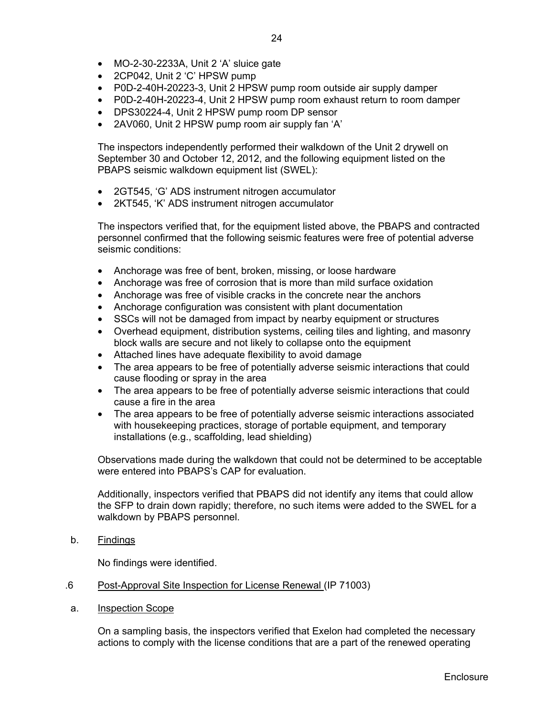- MO-2-30-2233A, Unit 2 'A' sluice gate
- 2CP042, Unit 2 'C' HPSW pump
- P0D-2-40H-20223-3, Unit 2 HPSW pump room outside air supply damper
- P0D-2-40H-20223-4, Unit 2 HPSW pump room exhaust return to room damper
- DPS30224-4, Unit 2 HPSW pump room DP sensor
- 2AV060, Unit 2 HPSW pump room air supply fan 'A'

The inspectors independently performed their walkdown of the Unit 2 drywell on September 30 and October 12, 2012, and the following equipment listed on the PBAPS seismic walkdown equipment list (SWEL):

- 2GT545, 'G' ADS instrument nitrogen accumulator
- 2KT545, 'K' ADS instrument nitrogen accumulator

The inspectors verified that, for the equipment listed above, the PBAPS and contracted personnel confirmed that the following seismic features were free of potential adverse seismic conditions:

- Anchorage was free of bent, broken, missing, or loose hardware
- Anchorage was free of corrosion that is more than mild surface oxidation
- Anchorage was free of visible cracks in the concrete near the anchors
- Anchorage configuration was consistent with plant documentation
- SSCs will not be damaged from impact by nearby equipment or structures
- Overhead equipment, distribution systems, ceiling tiles and lighting, and masonry block walls are secure and not likely to collapse onto the equipment
- Attached lines have adequate flexibility to avoid damage
- The area appears to be free of potentially adverse seismic interactions that could cause flooding or spray in the area
- The area appears to be free of potentially adverse seismic interactions that could cause a fire in the area
- The area appears to be free of potentially adverse seismic interactions associated with housekeeping practices, storage of portable equipment, and temporary installations (e.g., scaffolding, lead shielding)

Observations made during the walkdown that could not be determined to be acceptable were entered into PBAPS's CAP for evaluation.

Additionally, inspectors verified that PBAPS did not identify any items that could allow the SFP to drain down rapidly; therefore, no such items were added to the SWEL for a walkdown by PBAPS personnel.

b. Findings

No findings were identified.

- .6 Post-Approval Site Inspection for License Renewal (IP 71003)
- a. Inspection Scope

On a sampling basis, the inspectors verified that Exelon had completed the necessary actions to comply with the license conditions that are a part of the renewed operating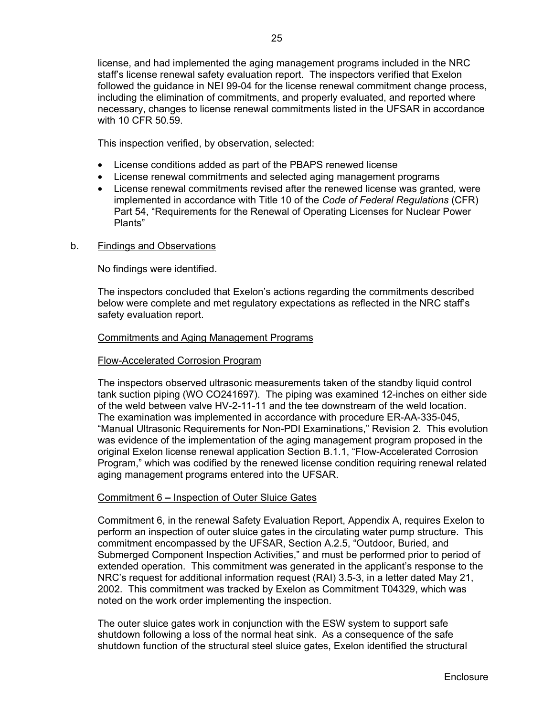license, and had implemented the aging management programs included in the NRC staff's license renewal safety evaluation report. The inspectors verified that Exelon followed the guidance in NEI 99-04 for the license renewal commitment change process, including the elimination of commitments, and properly evaluated, and reported where necessary, changes to license renewal commitments listed in the UFSAR in accordance with 10 CFR 50.59.

This inspection verified, by observation, selected:

- License conditions added as part of the PBAPS renewed license
- License renewal commitments and selected aging management programs
- License renewal commitments revised after the renewed license was granted, were implemented in accordance with Title 10 of the *Code of Federal Regulations* (CFR) Part 54, "Requirements for the Renewal of Operating Licenses for Nuclear Power Plants"
- b. Findings and Observations

No findings were identified.

The inspectors concluded that Exelon's actions regarding the commitments described below were complete and met regulatory expectations as reflected in the NRC staff's safety evaluation report.

## Commitments and Aging Management Programs

### Flow-Accelerated Corrosion Program

The inspectors observed ultrasonic measurements taken of the standby liquid control tank suction piping (WO CO241697). The piping was examined 12-inches on either side of the weld between valve HV-2-11-11 and the tee downstream of the weld location. The examination was implemented in accordance with procedure ER-AA-335-045, "Manual Ultrasonic Requirements for Non-PDI Examinations," Revision 2. This evolution was evidence of the implementation of the aging management program proposed in the original Exelon license renewal application Section B.1.1, "Flow-Accelerated Corrosion Program," which was codified by the renewed license condition requiring renewal related aging management programs entered into the UFSAR.

### Commitment 6 **–** Inspection of Outer Sluice Gates

Commitment 6, in the renewal Safety Evaluation Report, Appendix A, requires Exelon to perform an inspection of outer sluice gates in the circulating water pump structure. This commitment encompassed by the UFSAR, Section A.2.5, "Outdoor, Buried, and Submerged Component Inspection Activities," and must be performed prior to period of extended operation. This commitment was generated in the applicant's response to the NRC's request for additional information request (RAI) 3.5-3, in a letter dated May 21, 2002. This commitment was tracked by Exelon as Commitment T04329, which was noted on the work order implementing the inspection.

The outer sluice gates work in conjunction with the ESW system to support safe shutdown following a loss of the normal heat sink. As a consequence of the safe shutdown function of the structural steel sluice gates, Exelon identified the structural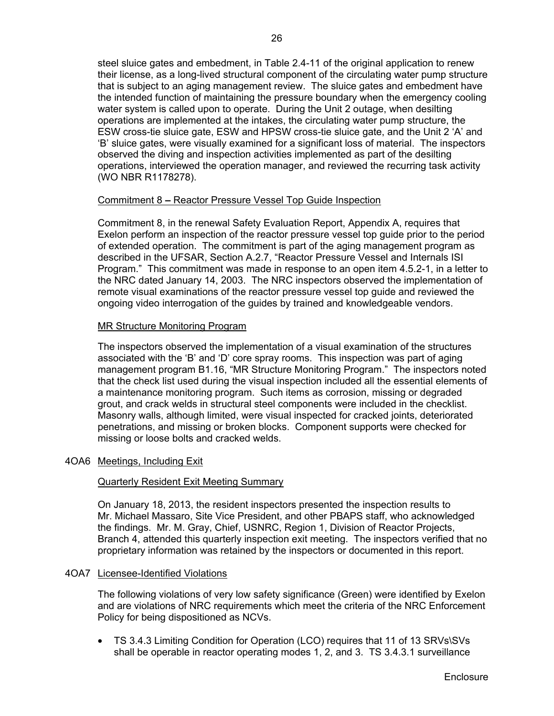steel sluice gates and embedment, in Table 2.4-11 of the original application to renew their license, as a long-lived structural component of the circulating water pump structure that is subject to an aging management review. The sluice gates and embedment have the intended function of maintaining the pressure boundary when the emergency cooling water system is called upon to operate. During the Unit 2 outage, when desilting operations are implemented at the intakes, the circulating water pump structure, the ESW cross-tie sluice gate, ESW and HPSW cross-tie sluice gate, and the Unit 2 'A' and 'B' sluice gates, were visually examined for a significant loss of material. The inspectors observed the diving and inspection activities implemented as part of the desilting operations, interviewed the operation manager, and reviewed the recurring task activity (WO NBR R1178278).

### Commitment 8 **–** Reactor Pressure Vessel Top Guide Inspection

Commitment 8, in the renewal Safety Evaluation Report, Appendix A, requires that Exelon perform an inspection of the reactor pressure vessel top guide prior to the period of extended operation. The commitment is part of the aging management program as described in the UFSAR, Section A.2.7, "Reactor Pressure Vessel and Internals ISI Program." This commitment was made in response to an open item 4.5.2-1, in a letter to the NRC dated January 14, 2003. The NRC inspectors observed the implementation of remote visual examinations of the reactor pressure vessel top guide and reviewed the ongoing video interrogation of the guides by trained and knowledgeable vendors.

#### MR Structure Monitoring Program

The inspectors observed the implementation of a visual examination of the structures associated with the 'B' and 'D' core spray rooms. This inspection was part of aging management program B1.16, "MR Structure Monitoring Program." The inspectors noted that the check list used during the visual inspection included all the essential elements of a maintenance monitoring program. Such items as corrosion, missing or degraded grout, and crack welds in structural steel components were included in the checklist. Masonry walls, although limited, were visual inspected for cracked joints, deteriorated penetrations, and missing or broken blocks. Component supports were checked for missing or loose bolts and cracked welds.

### 4OA6 Meetings, Including Exit

### Quarterly Resident Exit Meeting Summary

On January 18, 2013, the resident inspectors presented the inspection results to Mr. Michael Massaro, Site Vice President, and other PBAPS staff, who acknowledged the findings. Mr. M. Gray, Chief, USNRC, Region 1, Division of Reactor Projects, Branch 4, attended this quarterly inspection exit meeting. The inspectors verified that no proprietary information was retained by the inspectors or documented in this report.

#### 4OA7 Licensee-Identified Violations

The following violations of very low safety significance (Green) were identified by Exelon and are violations of NRC requirements which meet the criteria of the NRC Enforcement Policy for being dispositioned as NCVs.

 TS 3.4.3 Limiting Condition for Operation (LCO) requires that 11 of 13 SRVs\SVs shall be operable in reactor operating modes 1, 2, and 3. TS 3.4.3.1 surveillance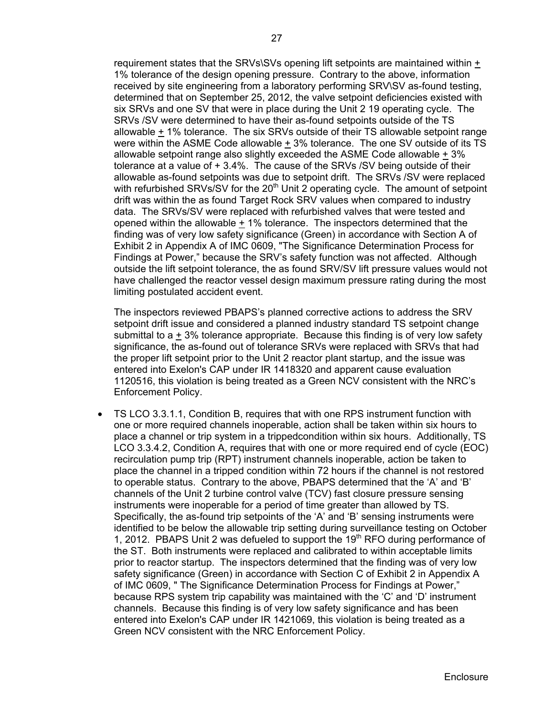requirement states that the SRVs\SVs opening lift setpoints are maintained within  $+$ 1% tolerance of the design opening pressure. Contrary to the above, information received by site engineering from a laboratory performing SRV\SV as-found testing, determined that on September 25, 2012, the valve setpoint deficiencies existed with six SRVs and one SV that were in place during the Unit 2 19 operating cycle. The SRVs /SV were determined to have their as-found setpoints outside of the TS allowable + 1% tolerance. The six SRVs outside of their TS allowable setpoint range were within the ASME Code allowable  $\pm$  3% tolerance. The one SV outside of its TS allowable setpoint range also slightly exceeded the ASME Code allowable + 3% tolerance at a value of + 3.4%. The cause of the SRVs /SV being outside of their allowable as-found setpoints was due to setpoint drift. The SRVs /SV were replaced with refurbished SRVs/SV for the 20<sup>th</sup> Unit 2 operating cycle. The amount of setpoint drift was within the as found Target Rock SRV values when compared to industry data. The SRVs/SV were replaced with refurbished valves that were tested and opened within the allowable  $\pm$  1% tolerance. The inspectors determined that the finding was of very low safety significance (Green) in accordance with Section A of Exhibit 2 in Appendix A of IMC 0609, "The Significance Determination Process for Findings at Power," because the SRV's safety function was not affected. Although outside the lift setpoint tolerance, the as found SRV/SV lift pressure values would not have challenged the reactor vessel design maximum pressure rating during the most limiting postulated accident event.

The inspectors reviewed PBAPS's planned corrective actions to address the SRV setpoint drift issue and considered a planned industry standard TS setpoint change submittal to  $a + 3%$  tolerance appropriate. Because this finding is of very low safety significance, the as-found out of tolerance SRVs were replaced with SRVs that had the proper lift setpoint prior to the Unit 2 reactor plant startup, and the issue was entered into Exelon's CAP under IR 1418320 and apparent cause evaluation 1120516, this violation is being treated as a Green NCV consistent with the NRC's Enforcement Policy.

 TS LCO 3.3.1.1, Condition B, requires that with one RPS instrument function with one or more required channels inoperable, action shall be taken within six hours to place a channel or trip system in a trippedcondition within six hours. Additionally, TS LCO 3.3.4.2, Condition A, requires that with one or more required end of cycle (EOC) recirculation pump trip (RPT) instrument channels inoperable, action be taken to place the channel in a tripped condition within 72 hours if the channel is not restored to operable status. Contrary to the above, PBAPS determined that the 'A' and 'B' channels of the Unit 2 turbine control valve (TCV) fast closure pressure sensing instruments were inoperable for a period of time greater than allowed by TS. Specifically, the as-found trip setpoints of the 'A' and 'B' sensing instruments were identified to be below the allowable trip setting during surveillance testing on October 1, 2012. PBAPS Unit 2 was defueled to support the 19<sup>th</sup> RFO during performance of the ST. Both instruments were replaced and calibrated to within acceptable limits prior to reactor startup. The inspectors determined that the finding was of very low safety significance (Green) in accordance with Section C of Exhibit 2 in Appendix A of IMC 0609, " The Significance Determination Process for Findings at Power," because RPS system trip capability was maintained with the 'C' and 'D' instrument channels. Because this finding is of very low safety significance and has been entered into Exelon's CAP under IR 1421069, this violation is being treated as a Green NCV consistent with the NRC Enforcement Policy.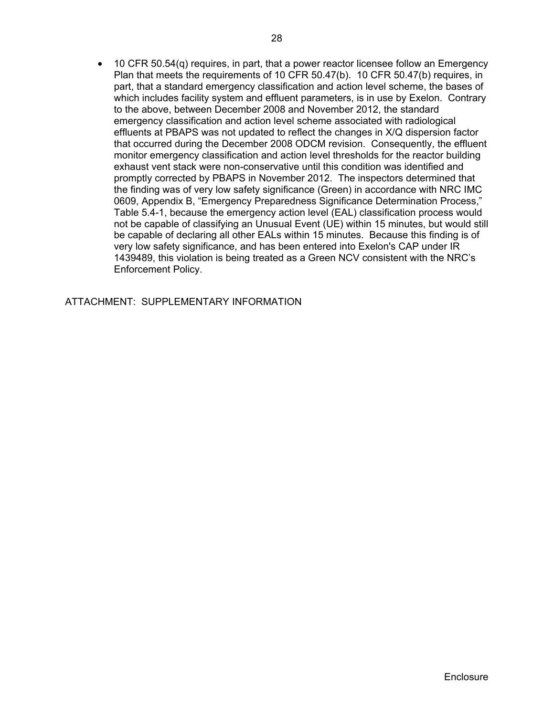10 CFR 50.54(q) requires, in part, that a power reactor licensee follow an Emergency Plan that meets the requirements of 10 CFR 50.47(b). 10 CFR 50.47(b) requires, in part, that a standard emergency classification and action level scheme, the bases of which includes facility system and effluent parameters, is in use by Exelon. Contrary to the above, between December 2008 and November 2012, the standard emergency classification and action level scheme associated with radiological effluents at PBAPS was not updated to reflect the changes in X/Q dispersion factor that occurred during the December 2008 ODCM revision. Consequently, the effluent monitor emergency classification and action level thresholds for the reactor building exhaust vent stack were non-conservative until this condition was identified and promptly corrected by PBAPS in November 2012. The inspectors determined that the finding was of very low safety significance (Green) in accordance with NRC IMC 0609, Appendix B, "Emergency Preparedness Significance Determination Process," Table 5.4-1, because the emergency action level (EAL) classification process would not be capable of classifying an Unusual Event (UE) within 15 minutes, but would still be capable of declaring all other EALs within 15 minutes. Because this finding is of very low safety significance, and has been entered into Exelon's CAP under IR 1439489, this violation is being treated as a Green NCV consistent with the NRC's Enforcement Policy.

ATTACHMENT: SUPPLEMENTARY INFORMATION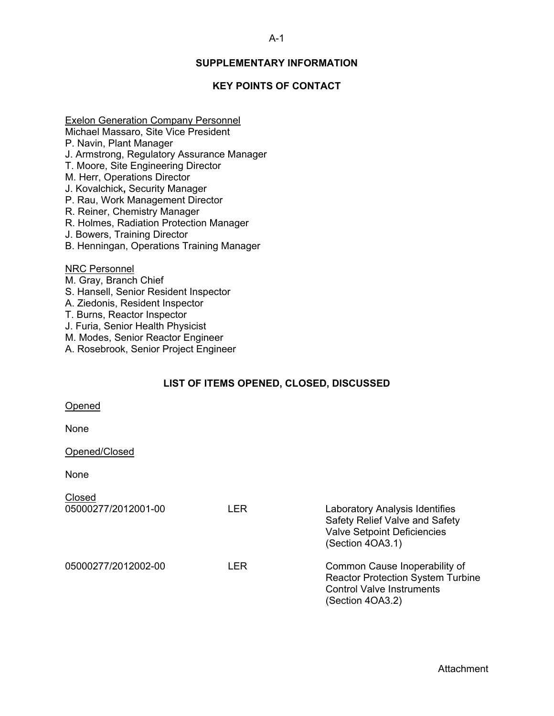## **SUPPLEMENTARY INFORMATION**

## **KEY POINTS OF CONTACT**

## Exelon Generation Company Personnel

Michael Massaro, Site Vice President

- P. Navin, Plant Manager
- J. Armstrong, Regulatory Assurance Manager
- T. Moore, Site Engineering Director
- M. Herr, Operations Director
- J. Kovalchick**,** Security Manager
- P. Rau, Work Management Director
- R. Reiner, Chemistry Manager
- R. Holmes, Radiation Protection Manager
- J. Bowers, Training Director
- B. Henningan, Operations Training Manager

## NRC Personnel

- M. Gray, Branch Chief
- S. Hansell, Senior Resident Inspector
- A. Ziedonis, Resident Inspector
- T. Burns, Reactor Inspector
- J. Furia, Senior Health Physicist
- M. Modes, Senior Reactor Engineer
- A. Rosebrook, Senior Project Engineer

## **LIST OF ITEMS OPENED, CLOSED, DISCUSSED**

#### Opened

None

#### Opened/Closed

None

| Closed              |      |                                                                                                                                   |
|---------------------|------|-----------------------------------------------------------------------------------------------------------------------------------|
| 05000277/2012001-00 | LER  | <b>Laboratory Analysis Identifies</b><br>Safety Relief Valve and Safety<br><b>Valve Setpoint Deficiencies</b><br>(Section 4OA3.1) |
| 05000277/2012002-00 | LER. | Common Cause Inoperability of<br><b>Reactor Protection System Turbine</b><br><b>Control Valve Instruments</b><br>(Section 4OA3.2) |

#### A-1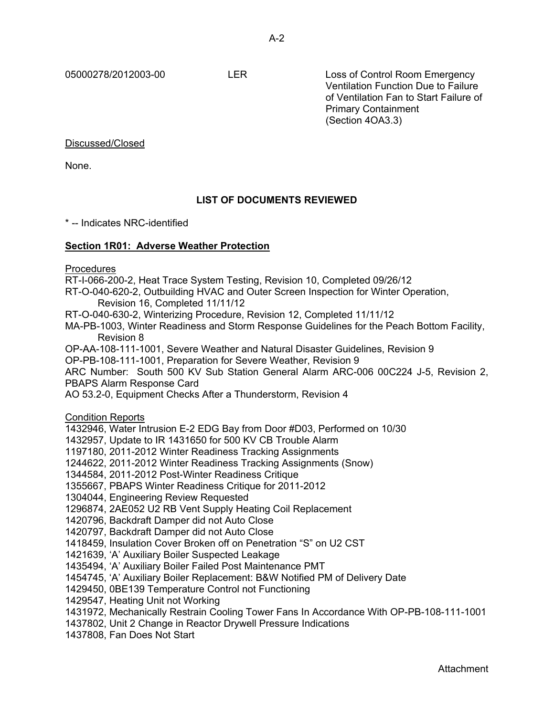05000278/2012003-00 LER Loss of Control Room Emergency Ventilation Function Due to Failure of Ventilation Fan to Start Failure of Primary Containment (Section 4OA3.3)

Discussed/Closed

None.

## **LIST OF DOCUMENTS REVIEWED**

\* -- Indicates NRC-identified

## **Section 1R01: Adverse Weather Protection**

Procedures

RT-I-066-200-2, Heat Trace System Testing, Revision 10, Completed 09/26/12

RT-O-040-620-2, Outbuilding HVAC and Outer Screen Inspection for Winter Operation, Revision 16, Completed 11/11/12

RT-O-040-630-2, Winterizing Procedure, Revision 12, Completed 11/11/12

MA-PB-1003, Winter Readiness and Storm Response Guidelines for the Peach Bottom Facility, Revision 8

OP-AA-108-111-1001, Severe Weather and Natural Disaster Guidelines, Revision 9

OP-PB-108-111-1001, Preparation for Severe Weather, Revision 9

ARC Number: South 500 KV Sub Station General Alarm ARC-006 00C224 J-5, Revision 2, PBAPS Alarm Response Card

AO 53.2-0, Equipment Checks After a Thunderstorm, Revision 4

Condition Reports

1432946, Water Intrusion E-2 EDG Bay from Door #D03, Performed on 10/30

1432957, Update to IR 1431650 for 500 KV CB Trouble Alarm

1197180, 2011-2012 Winter Readiness Tracking Assignments

1244622, 2011-2012 Winter Readiness Tracking Assignments (Snow)

1344584, 2011-2012 Post-Winter Readiness Critique

1355667, PBAPS Winter Readiness Critique for 2011-2012

1304044, Engineering Review Requested

1296874, 2AE052 U2 RB Vent Supply Heating Coil Replacement

1420796, Backdraft Damper did not Auto Close

1420797, Backdraft Damper did not Auto Close

1418459, Insulation Cover Broken off on Penetration "S" on U2 CST

1421639, 'A' Auxiliary Boiler Suspected Leakage

1435494, 'A' Auxiliary Boiler Failed Post Maintenance PMT

1454745, 'A' Auxiliary Boiler Replacement: B&W Notified PM of Delivery Date

1429450, 0BE139 Temperature Control not Functioning

1429547, Heating Unit not Working

1431972, Mechanically Restrain Cooling Tower Fans In Accordance With OP-PB-108-111-1001

1437802, Unit 2 Change in Reactor Drywell Pressure Indications

1437808, Fan Does Not Start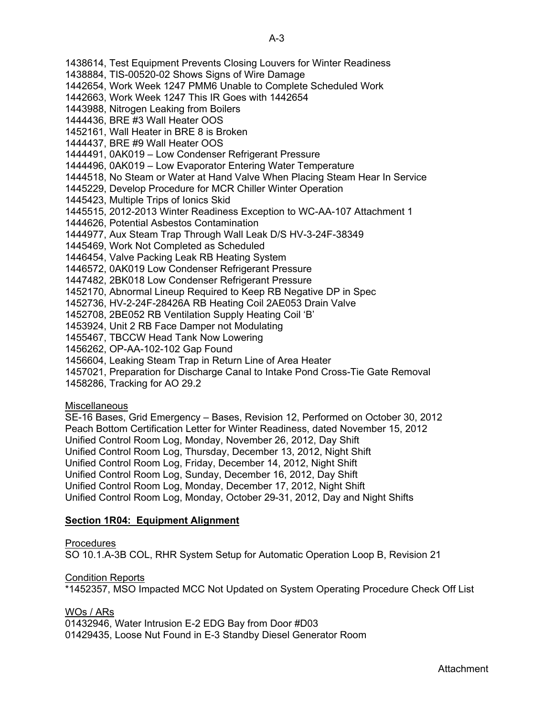1438614, Test Equipment Prevents Closing Louvers for Winter Readiness 1438884, TIS-00520-02 Shows Signs of Wire Damage 1442654, Work Week 1247 PMM6 Unable to Complete Scheduled Work 1442663, Work Week 1247 This IR Goes with 1442654 1443988, Nitrogen Leaking from Boilers 1444436, BRE #3 Wall Heater OOS 1452161, Wall Heater in BRE 8 is Broken 1444437, BRE #9 Wall Heater OOS 1444491, 0AK019 – Low Condenser Refrigerant Pressure 1444496, 0AK019 – Low Evaporator Entering Water Temperature 1444518, No Steam or Water at Hand Valve When Placing Steam Hear In Service 1445229, Develop Procedure for MCR Chiller Winter Operation 1445423, Multiple Trips of Ionics Skid 1445515, 2012-2013 Winter Readiness Exception to WC-AA-107 Attachment 1 1444626, Potential Asbestos Contamination 1444977, Aux Steam Trap Through Wall Leak D/S HV-3-24F-38349 1445469, Work Not Completed as Scheduled 1446454, Valve Packing Leak RB Heating System 1446572, 0AK019 Low Condenser Refrigerant Pressure 1447482, 2BK018 Low Condenser Refrigerant Pressure 1452170, Abnormal Lineup Required to Keep RB Negative DP in Spec 1452736, HV-2-24F-28426A RB Heating Coil 2AE053 Drain Valve 1452708, 2BE052 RB Ventilation Supply Heating Coil 'B' 1453924, Unit 2 RB Face Damper not Modulating 1455467, TBCCW Head Tank Now Lowering 1456262, OP-AA-102-102 Gap Found 1456604, Leaking Steam Trap in Return Line of Area Heater 1457021, Preparation for Discharge Canal to Intake Pond Cross-Tie Gate Removal 1458286, Tracking for AO 29.2

## **Miscellaneous**

SE-16 Bases, Grid Emergency – Bases, Revision 12, Performed on October 30, 2012 Peach Bottom Certification Letter for Winter Readiness, dated November 15, 2012 Unified Control Room Log, Monday, November 26, 2012, Day Shift Unified Control Room Log, Thursday, December 13, 2012, Night Shift Unified Control Room Log, Friday, December 14, 2012, Night Shift Unified Control Room Log, Sunday, December 16, 2012, Day Shift Unified Control Room Log, Monday, December 17, 2012, Night Shift Unified Control Room Log, Monday, October 29-31, 2012, Day and Night Shifts

## **Section 1R04: Equipment Alignment**

Procedures

SO 10.1.A-3B COL, RHR System Setup for Automatic Operation Loop B, Revision 21

**Condition Reports** 

\*1452357, MSO Impacted MCC Not Updated on System Operating Procedure Check Off List

## WOs / ARs

01432946, Water Intrusion E-2 EDG Bay from Door #D03 01429435, Loose Nut Found in E-3 Standby Diesel Generator Room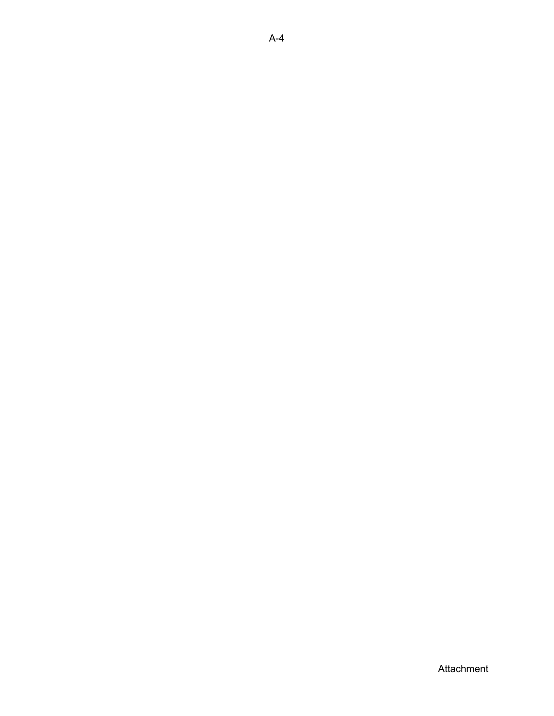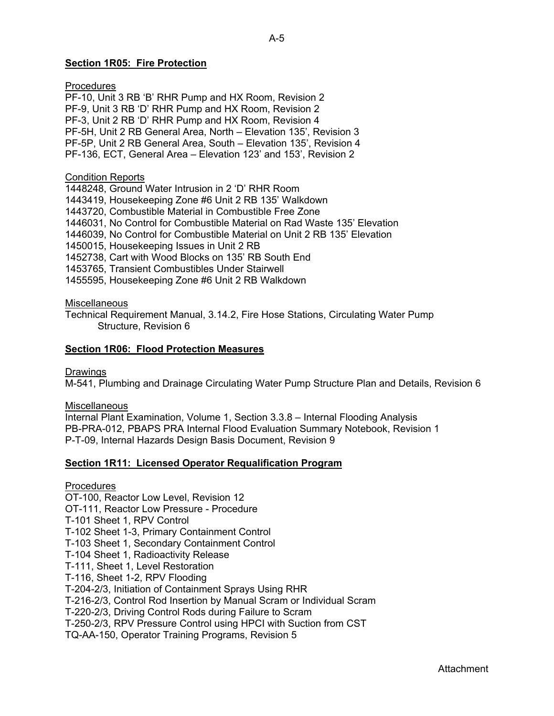## **Section 1R05: Fire Protection**

**Procedures** PF-10, Unit 3 RB 'B' RHR Pump and HX Room, Revision 2 PF-9, Unit 3 RB 'D' RHR Pump and HX Room, Revision 2 PF-3, Unit 2 RB 'D' RHR Pump and HX Room, Revision 4 PF-5H, Unit 2 RB General Area, North – Elevation 135', Revision 3 PF-5P, Unit 2 RB General Area, South – Elevation 135', Revision 4 PF-136, ECT, General Area – Elevation 123' and 153', Revision 2

#### Condition Reports

1448248, Ground Water Intrusion in 2 'D' RHR Room 1443419, Housekeeping Zone #6 Unit 2 RB 135' Walkdown 1443720, Combustible Material in Combustible Free Zone 1446031, No Control for Combustible Material on Rad Waste 135' Elevation 1446039, No Control for Combustible Material on Unit 2 RB 135' Elevation 1450015, Housekeeping Issues in Unit 2 RB 1452738, Cart with Wood Blocks on 135' RB South End 1453765, Transient Combustibles Under Stairwell 1455595, Housekeeping Zone #6 Unit 2 RB Walkdown

#### **Miscellaneous**

Technical Requirement Manual, 3.14.2, Fire Hose Stations, Circulating Water Pump Structure, Revision 6

#### **Section 1R06: Flood Protection Measures**

#### Drawings

M-541, Plumbing and Drainage Circulating Water Pump Structure Plan and Details, Revision 6

#### **Miscellaneous**

Internal Plant Examination, Volume 1, Section 3.3.8 – Internal Flooding Analysis PB-PRA-012, PBAPS PRA Internal Flood Evaluation Summary Notebook, Revision 1 P-T-09, Internal Hazards Design Basis Document, Revision 9

### **Section 1R11: Licensed Operator Requalification Program**

#### **Procedures**

OT-100, Reactor Low Level, Revision 12 OT-111, Reactor Low Pressure - Procedure T-101 Sheet 1, RPV Control T-102 Sheet 1-3, Primary Containment Control T-103 Sheet 1, Secondary Containment Control T-104 Sheet 1, Radioactivity Release T-111, Sheet 1, Level Restoration T-116, Sheet 1-2, RPV Flooding T-204-2/3, Initiation of Containment Sprays Using RHR T-216-2/3, Control Rod Insertion by Manual Scram or Individual Scram T-220-2/3, Driving Control Rods during Failure to Scram T-250-2/3, RPV Pressure Control using HPCI with Suction from CST TQ-AA-150, Operator Training Programs, Revision 5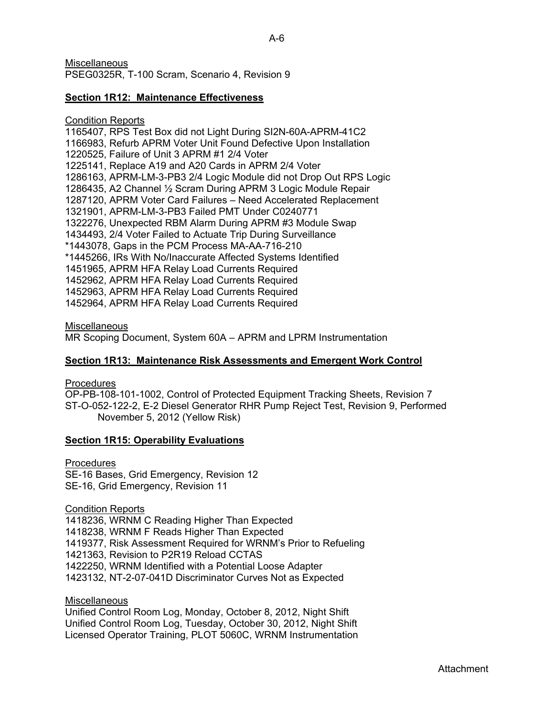**Miscellaneous** PSEG0325R, T-100 Scram, Scenario 4, Revision 9

### **Section 1R12: Maintenance Effectiveness**

#### Condition Reports

1165407, RPS Test Box did not Light During SI2N-60A-APRM-41C2 1166983, Refurb APRM Voter Unit Found Defective Upon Installation 1220525, Failure of Unit 3 APRM #1 2/4 Voter 1225141, Replace A19 and A20 Cards in APRM 2/4 Voter 1286163, APRM-LM-3-PB3 2/4 Logic Module did not Drop Out RPS Logic 1286435, A2 Channel ½ Scram During APRM 3 Logic Module Repair 1287120, APRM Voter Card Failures – Need Accelerated Replacement 1321901, APRM-LM-3-PB3 Failed PMT Under C0240771 1322276, Unexpected RBM Alarm During APRM #3 Module Swap 1434493, 2/4 Voter Failed to Actuate Trip During Surveillance \*1443078, Gaps in the PCM Process MA-AA-716-210 \*1445266, IRs With No/Inaccurate Affected Systems Identified 1451965, APRM HFA Relay Load Currents Required 1452962, APRM HFA Relay Load Currents Required 1452963, APRM HFA Relay Load Currents Required 1452964, APRM HFA Relay Load Currents Required

#### **Miscellaneous**

MR Scoping Document, System 60A – APRM and LPRM Instrumentation

### **Section 1R13: Maintenance Risk Assessments and Emergent Work Control**

#### **Procedures**

OP-PB-108-101-1002, Control of Protected Equipment Tracking Sheets, Revision 7 ST-O-052-122-2, E-2 Diesel Generator RHR Pump Reject Test, Revision 9, Performed November 5, 2012 (Yellow Risk)

#### **Section 1R15: Operability Evaluations**

**Procedures** SE-16 Bases, Grid Emergency, Revision 12 SE-16, Grid Emergency, Revision 11

Condition Reports

1418236, WRNM C Reading Higher Than Expected 1418238, WRNM F Reads Higher Than Expected 1419377, Risk Assessment Required for WRNM's Prior to Refueling 1421363, Revision to P2R19 Reload CCTAS 1422250, WRNM Identified with a Potential Loose Adapter 1423132, NT-2-07-041D Discriminator Curves Not as Expected

## **Miscellaneous**

Unified Control Room Log, Monday, October 8, 2012, Night Shift Unified Control Room Log, Tuesday, October 30, 2012, Night Shift Licensed Operator Training, PLOT 5060C, WRNM Instrumentation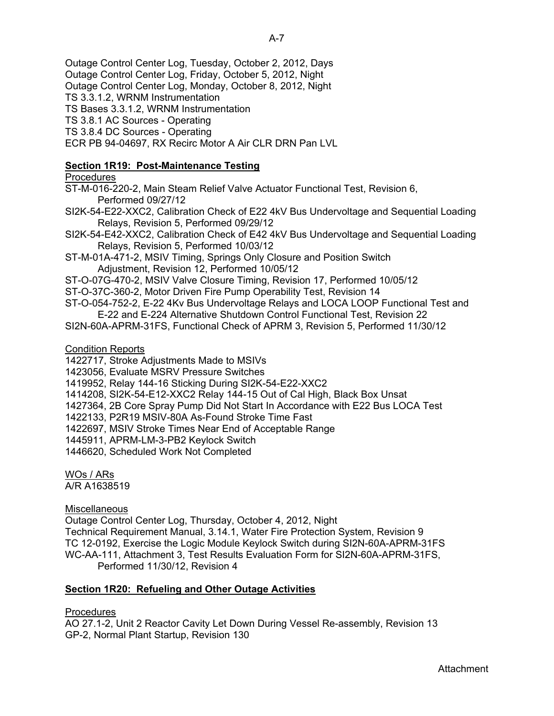Outage Control Center Log, Tuesday, October 2, 2012, Days

Outage Control Center Log, Friday, October 5, 2012, Night

Outage Control Center Log, Monday, October 8, 2012, Night

TS 3.3.1.2, WRNM Instrumentation

TS Bases 3.3.1.2, WRNM Instrumentation

TS 3.8.1 AC Sources - Operating

TS 3.8.4 DC Sources - Operating

ECR PB 94-04697, RX Recirc Motor A Air CLR DRN Pan LVL

## **Section 1R19: Post-Maintenance Testing**

## Procedures

ST-M-016-220-2, Main Steam Relief Valve Actuator Functional Test, Revision 6, Performed 09/27/12

SI2K-54-E22-XXC2, Calibration Check of E22 4kV Bus Undervoltage and Sequential Loading Relays, Revision 5, Performed 09/29/12

SI2K-54-E42-XXC2, Calibration Check of E42 4kV Bus Undervoltage and Sequential Loading Relays, Revision 5, Performed 10/03/12

- ST-M-01A-471-2, MSIV Timing, Springs Only Closure and Position Switch Adjustment, Revision 12, Performed 10/05/12
- ST-O-07G-470-2, MSIV Valve Closure Timing, Revision 17, Performed 10/05/12

ST-O-37C-360-2, Motor Driven Fire Pump Operability Test, Revision 14

ST-O-054-752-2, E-22 4Kv Bus Undervoltage Relays and LOCA LOOP Functional Test and E-22 and E-224 Alternative Shutdown Control Functional Test, Revision 22

SI2N-60A-APRM-31FS, Functional Check of APRM 3, Revision 5, Performed 11/30/12

Condition Reports

1422717, Stroke Adjustments Made to MSIVs

1423056, Evaluate MSRV Pressure Switches

1419952, Relay 144-16 Sticking During SI2K-54-E22-XXC2

1414208, SI2K-54-E12-XXC2 Relay 144-15 Out of Cal High, Black Box Unsat

1427364, 2B Core Spray Pump Did Not Start In Accordance with E22 Bus LOCA Test

1422133, P2R19 MSIV-80A As-Found Stroke Time Fast

1422697, MSIV Stroke Times Near End of Acceptable Range

1445911, APRM-LM-3-PB2 Keylock Switch

1446620, Scheduled Work Not Completed

WOs / ARs

A/R A1638519

**Miscellaneous** 

Outage Control Center Log, Thursday, October 4, 2012, Night Technical Requirement Manual, 3.14.1, Water Fire Protection System, Revision 9 TC 12-0192, Exercise the Logic Module Keylock Switch during SI2N-60A-APRM-31FS WC-AA-111, Attachment 3, Test Results Evaluation Form for SI2N-60A-APRM-31FS, Performed 11/30/12, Revision 4

## **Section 1R20: Refueling and Other Outage Activities**

## **Procedures**

AO 27.1-2, Unit 2 Reactor Cavity Let Down During Vessel Re-assembly, Revision 13 GP-2, Normal Plant Startup, Revision 130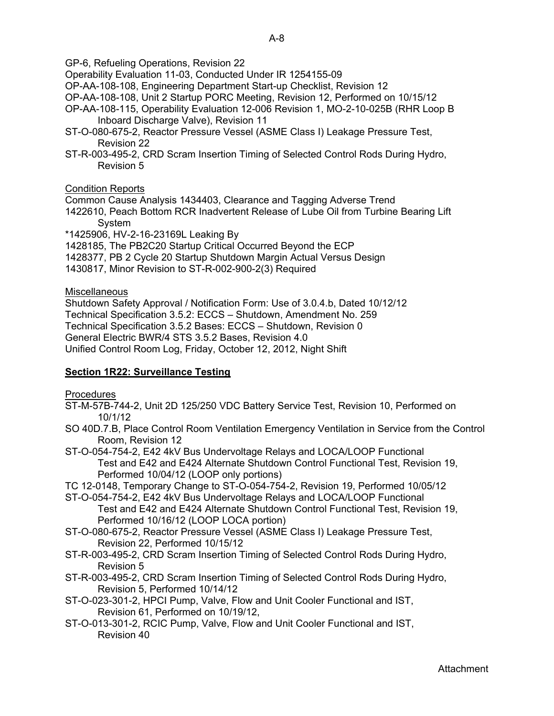GP-6, Refueling Operations, Revision 22

- Operability Evaluation 11-03, Conducted Under IR 1254155-09
- OP-AA-108-108, Engineering Department Start-up Checklist, Revision 12
- OP-AA-108-108, Unit 2 Startup PORC Meeting, Revision 12, Performed on 10/15/12
- OP-AA-108-115, Operability Evaluation 12-006 Revision 1, MO-2-10-025B (RHR Loop B Inboard Discharge Valve), Revision 11
- ST-O-080-675-2, Reactor Pressure Vessel (ASME Class I) Leakage Pressure Test, Revision 22
- ST-R-003-495-2, CRD Scram Insertion Timing of Selected Control Rods During Hydro, Revision 5

## Condition Reports

Common Cause Analysis 1434403, Clearance and Tagging Adverse Trend

- 1422610, Peach Bottom RCR Inadvertent Release of Lube Oil from Turbine Bearing Lift System
- \*1425906, HV-2-16-23169L Leaking By

1428185, The PB2C20 Startup Critical Occurred Beyond the ECP

- 1428377, PB 2 Cycle 20 Startup Shutdown Margin Actual Versus Design
- 1430817, Minor Revision to ST-R-002-900-2(3) Required

## **Miscellaneous**

Shutdown Safety Approval / Notification Form: Use of 3.0.4.b, Dated 10/12/12 Technical Specification 3.5.2: ECCS – Shutdown, Amendment No. 259 Technical Specification 3.5.2 Bases: ECCS – Shutdown, Revision 0 General Electric BWR/4 STS 3.5.2 Bases, Revision 4.0 Unified Control Room Log, Friday, October 12, 2012, Night Shift

## **Section 1R22: Surveillance Testing**

Procedures

- ST-M-57B-744-2, Unit 2D 125/250 VDC Battery Service Test, Revision 10, Performed on 10/1/12
- SO 40D.7.B, Place Control Room Ventilation Emergency Ventilation in Service from the Control Room, Revision 12
- ST-O-054-754-2, E42 4kV Bus Undervoltage Relays and LOCA/LOOP Functional Test and E42 and E424 Alternate Shutdown Control Functional Test, Revision 19, Performed 10/04/12 (LOOP only portions)
- TC 12-0148, Temporary Change to ST-O-054-754-2, Revision 19, Performed 10/05/12
- ST-O-054-754-2, E42 4kV Bus Undervoltage Relays and LOCA/LOOP Functional Test and E42 and E424 Alternate Shutdown Control Functional Test, Revision 19, Performed 10/16/12 (LOOP LOCA portion)
- ST-O-080-675-2, Reactor Pressure Vessel (ASME Class I) Leakage Pressure Test, Revision 22, Performed 10/15/12
- ST-R-003-495-2, CRD Scram Insertion Timing of Selected Control Rods During Hydro, Revision 5
- ST-R-003-495-2, CRD Scram Insertion Timing of Selected Control Rods During Hydro, Revision 5, Performed 10/14/12
- ST-O-023-301-2, HPCI Pump, Valve, Flow and Unit Cooler Functional and IST, Revision 61, Performed on 10/19/12,
- ST-O-013-301-2, RCIC Pump, Valve, Flow and Unit Cooler Functional and IST, Revision 40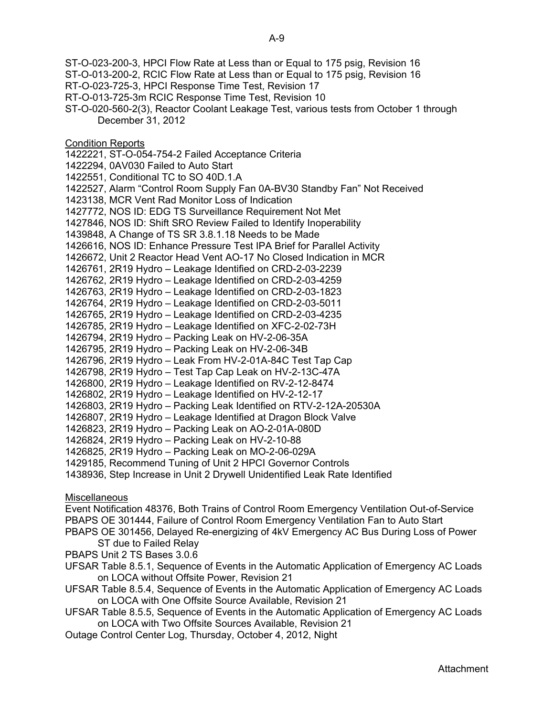ST-O-023-200-3, HPCI Flow Rate at Less than or Equal to 175 psig, Revision 16

- ST-O-013-200-2, RCIC Flow Rate at Less than or Equal to 175 psig, Revision 16
- RT-O-023-725-3, HPCI Response Time Test, Revision 17
- RT-O-013-725-3m RCIC Response Time Test, Revision 10
- ST-O-020-560-2(3), Reactor Coolant Leakage Test, various tests from October 1 through December 31, 2012

**Condition Reports** 

1422221, ST-O-054-754-2 Failed Acceptance Criteria

1422294, 0AV030 Failed to Auto Start

1422551, Conditional TC to SO 40D.1.A

1422527, Alarm "Control Room Supply Fan 0A-BV30 Standby Fan" Not Received

1423138, MCR Vent Rad Monitor Loss of Indication

1427772, NOS ID: EDG TS Surveillance Requirement Not Met

1427846, NOS ID: Shift SRO Review Failed to Identify Inoperability

1439848, A Change of TS SR 3.8.1.18 Needs to be Made

1426616, NOS ID: Enhance Pressure Test IPA Brief for Parallel Activity

1426672, Unit 2 Reactor Head Vent AO-17 No Closed Indication in MCR

1426761, 2R19 Hydro – Leakage Identified on CRD-2-03-2239

1426762, 2R19 Hydro – Leakage Identified on CRD-2-03-4259

1426763, 2R19 Hydro – Leakage Identified on CRD-2-03-1823

1426764, 2R19 Hydro – Leakage Identified on CRD-2-03-5011

1426765, 2R19 Hydro – Leakage Identified on CRD-2-03-4235

1426785, 2R19 Hydro – Leakage Identified on XFC-2-02-73H

1426794, 2R19 Hydro – Packing Leak on HV-2-06-35A

1426795, 2R19 Hydro – Packing Leak on HV-2-06-34B

1426796, 2R19 Hydro – Leak From HV-2-01A-84C Test Tap Cap

1426798, 2R19 Hydro – Test Tap Cap Leak on HV-2-13C-47A

1426800, 2R19 Hydro – Leakage Identified on RV-2-12-8474

1426802, 2R19 Hydro – Leakage Identified on HV-2-12-17

1426803, 2R19 Hydro – Packing Leak Identified on RTV-2-12A-20530A

1426807, 2R19 Hydro – Leakage Identified at Dragon Block Valve

1426823, 2R19 Hydro – Packing Leak on AO-2-01A-080D

1426824, 2R19 Hydro – Packing Leak on HV-2-10-88

1426825, 2R19 Hydro – Packing Leak on MO-2-06-029A

1429185, Recommend Tuning of Unit 2 HPCI Governor Controls

1438936, Step Increase in Unit 2 Drywell Unidentified Leak Rate Identified

**Miscellaneous** 

Event Notification 48376, Both Trains of Control Room Emergency Ventilation Out-of-Service PBAPS OE 301444, Failure of Control Room Emergency Ventilation Fan to Auto Start

PBAPS OE 301456, Delayed Re-energizing of 4kV Emergency AC Bus During Loss of Power ST due to Failed Relay

PBAPS Unit 2 TS Bases 3.0.6

UFSAR Table 8.5.1, Sequence of Events in the Automatic Application of Emergency AC Loads on LOCA without Offsite Power, Revision 21

UFSAR Table 8.5.4, Sequence of Events in the Automatic Application of Emergency AC Loads on LOCA with One Offsite Source Available, Revision 21

UFSAR Table 8.5.5, Sequence of Events in the Automatic Application of Emergency AC Loads on LOCA with Two Offsite Sources Available, Revision 21

Outage Control Center Log, Thursday, October 4, 2012, Night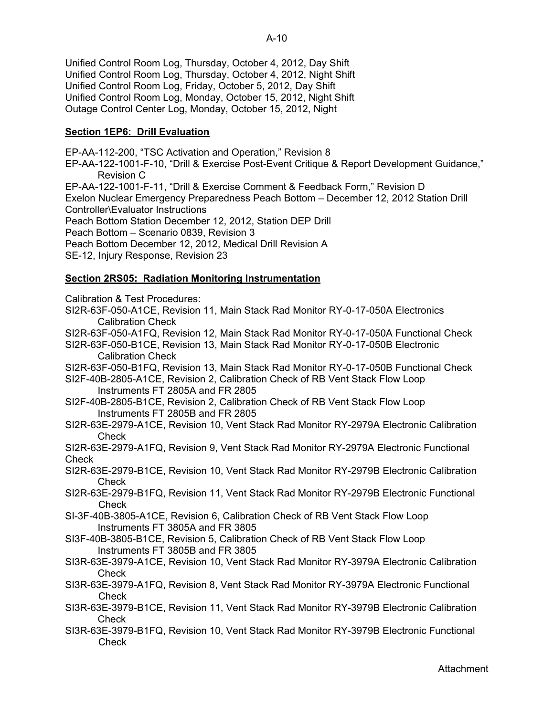Unified Control Room Log, Thursday, October 4, 2012, Day Shift Unified Control Room Log, Thursday, October 4, 2012, Night Shift Unified Control Room Log, Friday, October 5, 2012, Day Shift Unified Control Room Log, Monday, October 15, 2012, Night Shift Outage Control Center Log, Monday, October 15, 2012, Night

## **Section 1EP6: Drill Evaluation**

EP-AA-112-200, "TSC Activation and Operation," Revision 8

EP-AA-122-1001-F-10, "Drill & Exercise Post-Event Critique & Report Development Guidance," Revision C

EP-AA-122-1001-F-11, "Drill & Exercise Comment & Feedback Form," Revision D

Exelon Nuclear Emergency Preparedness Peach Bottom – December 12, 2012 Station Drill Controller\Evaluator Instructions

Peach Bottom Station December 12, 2012, Station DEP Drill

Peach Bottom – Scenario 0839, Revision 3

Peach Bottom December 12, 2012, Medical Drill Revision A

SE-12, Injury Response, Revision 23

## **Section 2RS05: Radiation Monitoring Instrumentation**

Calibration & Test Procedures:

SI2R-63F-050-A1CE, Revision 11, Main Stack Rad Monitor RY-0-17-050A Electronics Calibration Check

SI2R-63F-050-A1FQ, Revision 12, Main Stack Rad Monitor RY-0-17-050A Functional Check

SI2R-63F-050-B1CE, Revision 13, Main Stack Rad Monitor RY-0-17-050B Electronic Calibration Check

SI2R-63F-050-B1FQ, Revision 13, Main Stack Rad Monitor RY-0-17-050B Functional Check

SI2F-40B-2805-A1CE, Revision 2, Calibration Check of RB Vent Stack Flow Loop Instruments FT 2805A and FR 2805

SI2F-40B-2805-B1CE, Revision 2, Calibration Check of RB Vent Stack Flow Loop Instruments FT 2805B and FR 2805

SI2R-63E-2979-A1CE, Revision 10, Vent Stack Rad Monitor RY-2979A Electronic Calibration **Check** 

SI2R-63E-2979-A1FQ, Revision 9, Vent Stack Rad Monitor RY-2979A Electronic Functional **Check** 

SI2R-63E-2979-B1CE, Revision 10, Vent Stack Rad Monitor RY-2979B Electronic Calibration **Check** 

SI2R-63E-2979-B1FQ, Revision 11, Vent Stack Rad Monitor RY-2979B Electronic Functional Check

SI-3F-40B-3805-A1CE, Revision 6, Calibration Check of RB Vent Stack Flow Loop Instruments FT 3805A and FR 3805

SI3F-40B-3805-B1CE, Revision 5, Calibration Check of RB Vent Stack Flow Loop Instruments FT 3805B and FR 3805

SI3R-63E-3979-A1CE, Revision 10, Vent Stack Rad Monitor RY-3979A Electronic Calibration Check

SI3R-63E-3979-A1FQ, Revision 8, Vent Stack Rad Monitor RY-3979A Electronic Functional Check

SI3R-63E-3979-B1CE, Revision 11, Vent Stack Rad Monitor RY-3979B Electronic Calibration Check

SI3R-63E-3979-B1FQ, Revision 10, Vent Stack Rad Monitor RY-3979B Electronic Functional **Check**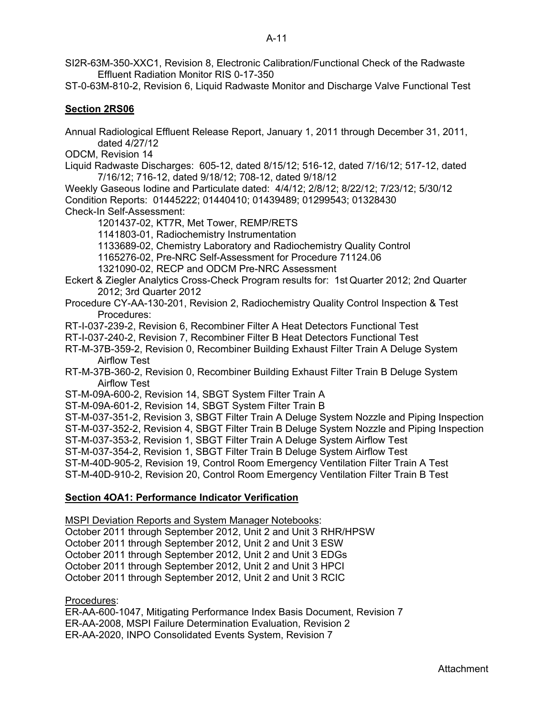- SI2R-63M-350-XXC1, Revision 8, Electronic Calibration/Functional Check of the Radwaste Effluent Radiation Monitor RIS 0-17-350
- ST-0-63M-810-2, Revision 6, Liquid Radwaste Monitor and Discharge Valve Functional Test

## **Section 2RS06**

Annual Radiological Effluent Release Report, January 1, 2011 through December 31, 2011, dated 4/27/12

ODCM, Revision 14

Liquid Radwaste Discharges: 605-12, dated 8/15/12; 516-12, dated 7/16/12; 517-12, dated 7/16/12; 716-12, dated 9/18/12; 708-12, dated 9/18/12

Weekly Gaseous Iodine and Particulate dated: 4/4/12; 2/8/12; 8/22/12; 7/23/12; 5/30/12 Condition Reports: 01445222; 01440410; 01439489; 01299543; 01328430 Check-In Self-Assessment:

1201437-02, KT7R, Met Tower, REMP/RETS

1141803-01, Radiochemistry Instrumentation

- 1133689-02, Chemistry Laboratory and Radiochemistry Quality Control
- 1165276-02, Pre-NRC Self-Assessment for Procedure 71124.06

1321090-02, RECP and ODCM Pre-NRC Assessment

- Eckert & Ziegler Analytics Cross-Check Program results for: 1st Quarter 2012; 2nd Quarter 2012; 3rd Quarter 2012
- Procedure CY-AA-130-201, Revision 2, Radiochemistry Quality Control Inspection & Test Procedures:
- RT-I-037-239-2, Revision 6, Recombiner Filter A Heat Detectors Functional Test
- RT-I-037-240-2, Revision 7, Recombiner Filter B Heat Detectors Functional Test
- RT-M-37B-359-2, Revision 0, Recombiner Building Exhaust Filter Train A Deluge System Airflow Test
- RT-M-37B-360-2, Revision 0, Recombiner Building Exhaust Filter Train B Deluge System Airflow Test

ST-M-09A-600-2, Revision 14, SBGT System Filter Train A

ST-M-09A-601-2, Revision 14, SBGT System Filter Train B

ST-M-037-351-2, Revision 3, SBGT Filter Train A Deluge System Nozzle and Piping Inspection

ST-M-037-352-2, Revision 4, SBGT Filter Train B Deluge System Nozzle and Piping Inspection

ST-M-037-353-2, Revision 1, SBGT Filter Train A Deluge System Airflow Test

ST-M-037-354-2, Revision 1, SBGT Filter Train B Deluge System Airflow Test

ST-M-40D-905-2, Revision 19, Control Room Emergency Ventilation Filter Train A Test

ST-M-40D-910-2, Revision 20, Control Room Emergency Ventilation Filter Train B Test

### **Section 4OA1: Performance Indicator Verification**

MSPI Deviation Reports and System Manager Notebooks:

October 2011 through September 2012, Unit 2 and Unit 3 RHR/HPSW

October 2011 through September 2012, Unit 2 and Unit 3 ESW

October 2011 through September 2012, Unit 2 and Unit 3 EDGs

October 2011 through September 2012, Unit 2 and Unit 3 HPCI

October 2011 through September 2012, Unit 2 and Unit 3 RCIC

Procedures:

ER-AA-600-1047, Mitigating Performance Index Basis Document, Revision 7 ER-AA-2008, MSPI Failure Determination Evaluation, Revision 2 ER-AA-2020, INPO Consolidated Events System, Revision 7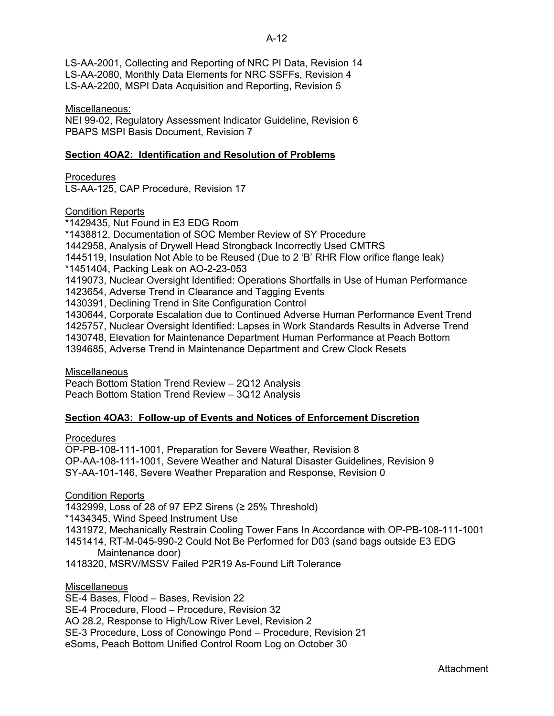## A-12

LS-AA-2001, Collecting and Reporting of NRC PI Data, Revision 14 LS-AA-2080, Monthly Data Elements for NRC SSFFs, Revision 4 LS-AA-2200, MSPI Data Acquisition and Reporting, Revision 5

Miscellaneous:

NEI 99-02, Regulatory Assessment Indicator Guideline, Revision 6 PBAPS MSPI Basis Document, Revision 7

## **Section 4OA2: Identification and Resolution of Problems**

Procedures LS-AA-125, CAP Procedure, Revision 17

Condition Reports

\*1429435, Nut Found in E3 EDG Room \*1438812, Documentation of SOC Member Review of SY Procedure 1442958, Analysis of Drywell Head Strongback Incorrectly Used CMTRS 1445119, Insulation Not Able to be Reused (Due to 2 'B' RHR Flow orifice flange leak) \*1451404, Packing Leak on AO-2-23-053 1419073, Nuclear Oversight Identified: Operations Shortfalls in Use of Human Performance 1423654, Adverse Trend in Clearance and Tagging Events 1430391, Declining Trend in Site Configuration Control 1430644, Corporate Escalation due to Continued Adverse Human Performance Event Trend 1425757, Nuclear Oversight Identified: Lapses in Work Standards Results in Adverse Trend 1430748, Elevation for Maintenance Department Human Performance at Peach Bottom 1394685, Adverse Trend in Maintenance Department and Crew Clock Resets

**Miscellaneous** 

Peach Bottom Station Trend Review – 2Q12 Analysis Peach Bottom Station Trend Review – 3Q12 Analysis

## **Section 4OA3: Follow-up of Events and Notices of Enforcement Discretion**

Procedures

OP-PB-108-111-1001, Preparation for Severe Weather, Revision 8 OP-AA-108-111-1001, Severe Weather and Natural Disaster Guidelines, Revision 9 SY-AA-101-146, Severe Weather Preparation and Response, Revision 0

Condition Reports

1432999, Loss of 28 of 97 EPZ Sirens (≥ 25% Threshold) \*1434345, Wind Speed Instrument Use 1431972, Mechanically Restrain Cooling Tower Fans In Accordance with OP-PB-108-111-1001 1451414, RT-M-045-990-2 Could Not Be Performed for D03 (sand bags outside E3 EDG Maintenance door) 1418320, MSRV/MSSV Failed P2R19 As-Found Lift Tolerance

**Miscellaneous** 

SE-4 Bases, Flood – Bases, Revision 22 SE-4 Procedure, Flood – Procedure, Revision 32 AO 28.2, Response to High/Low River Level, Revision 2 SE-3 Procedure, Loss of Conowingo Pond – Procedure, Revision 21 eSoms, Peach Bottom Unified Control Room Log on October 30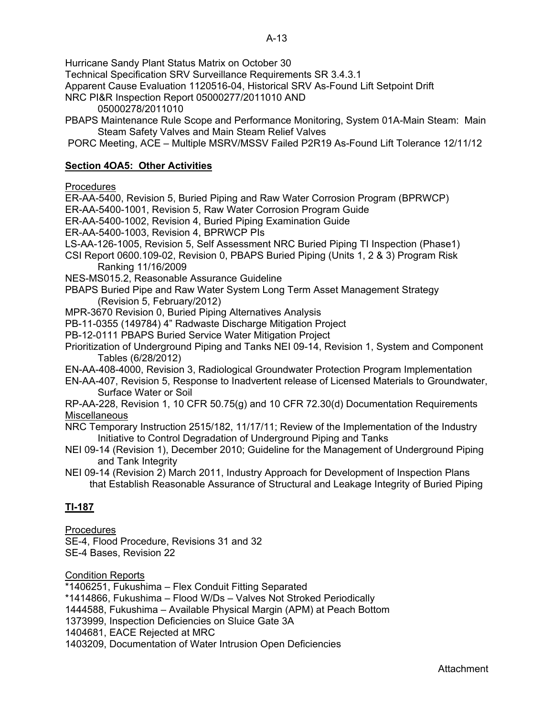Hurricane Sandy Plant Status Matrix on October 30

Technical Specification SRV Surveillance Requirements SR 3.4.3.1

Apparent Cause Evaluation 1120516-04, Historical SRV As-Found Lift Setpoint Drift

- NRC PI&R Inspection Report 05000277/2011010 AND
	- 05000278/2011010
- PBAPS Maintenance Rule Scope and Performance Monitoring, System 01A-Main Steam: Main Steam Safety Valves and Main Steam Relief Valves
- PORC Meeting, ACE Multiple MSRV/MSSV Failed P2R19 As-Found Lift Tolerance 12/11/12

## **Section 4OA5: Other Activities**

## **Procedures**

ER-AA-5400, Revision 5, Buried Piping and Raw Water Corrosion Program (BPRWCP)

ER-AA-5400-1001, Revision 5, Raw Water Corrosion Program Guide

ER-AA-5400-1002, Revision 4, Buried Piping Examination Guide

ER-AA-5400-1003, Revision 4, BPRWCP PIs

LS-AA-126-1005, Revision 5, Self Assessment NRC Buried Piping TI Inspection (Phase1)

- CSI Report 0600.109-02, Revision 0, PBAPS Buried Piping (Units 1, 2 & 3) Program Risk Ranking 11/16/2009
- NES-MS015.2, Reasonable Assurance Guideline
- PBAPS Buried Pipe and Raw Water System Long Term Asset Management Strategy (Revision 5, February/2012)

MPR-3670 Revision 0, Buried Piping Alternatives Analysis

PB-11-0355 (149784) 4" Radwaste Discharge Mitigation Project

PB-12-0111 PBAPS Buried Service Water Mitigation Project

Prioritization of Underground Piping and Tanks NEI 09-14, Revision 1, System and Component Tables (6/28/2012)

EN-AA-408-4000, Revision 3, Radiological Groundwater Protection Program Implementation

EN-AA-407, Revision 5, Response to Inadvertent release of Licensed Materials to Groundwater, Surface Water or Soil

RP-AA-228, Revision 1, 10 CFR 50.75(g) and 10 CFR 72.30(d) Documentation Requirements **Miscellaneous** 

NRC Temporary Instruction 2515/182, 11/17/11; Review of the Implementation of the Industry Initiative to Control Degradation of Underground Piping and Tanks

NEI 09-14 (Revision 1), December 2010; Guideline for the Management of Underground Piping and Tank Integrity

NEI 09-14 (Revision 2) March 2011, Industry Approach for Development of Inspection Plans that Establish Reasonable Assurance of Structural and Leakage Integrity of Buried Piping

# **TI-187**

Procedures

SE-4, Flood Procedure, Revisions 31 and 32 SE-4 Bases, Revision 22

## Condition Reports

\*1406251, Fukushima – Flex Conduit Fitting Separated

\*1414866, Fukushima – Flood W/Ds – Valves Not Stroked Periodically

1444588, Fukushima – Available Physical Margin (APM) at Peach Bottom

1373999, Inspection Deficiencies on Sluice Gate 3A

1404681, EACE Rejected at MRC

1403209, Documentation of Water Intrusion Open Deficiencies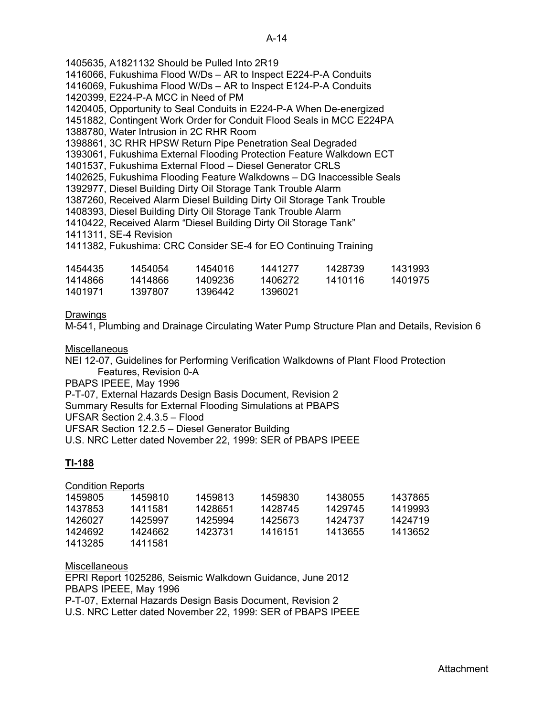1405635, A1821132 Should be Pulled Into 2R19 1416066, Fukushima Flood W/Ds – AR to Inspect E224-P-A Conduits 1416069, Fukushima Flood W/Ds – AR to Inspect E124-P-A Conduits 1420399, E224-P-A MCC in Need of PM 1420405, Opportunity to Seal Conduits in E224-P-A When De-energized 1451882, Contingent Work Order for Conduit Flood Seals in MCC E224PA 1388780, Water Intrusion in 2C RHR Room 1398861, 3C RHR HPSW Return Pipe Penetration Seal Degraded 1393061, Fukushima External Flooding Protection Feature Walkdown ECT 1401537, Fukushima External Flood – Diesel Generator CRLS 1402625, Fukushima Flooding Feature Walkdowns – DG Inaccessible Seals 1392977, Diesel Building Dirty Oil Storage Tank Trouble Alarm 1387260, Received Alarm Diesel Building Dirty Oil Storage Tank Trouble 1408393, Diesel Building Dirty Oil Storage Tank Trouble Alarm 1410422, Received Alarm "Diesel Building Dirty Oil Storage Tank" 1411311, SE-4 Revision 1411382, Fukushima: CRC Consider SE-4 for EO Continuing Training 1454435 1454054 1454016 1441277 1428739 1431993 1414866 1414866 1409236 1406272 1410116 1401975 1401971 1397807 1396442 1396021

Drawings

M-541, Plumbing and Drainage Circulating Water Pump Structure Plan and Details, Revision 6

**Miscellaneous** 

NEI 12-07, Guidelines for Performing Verification Walkdowns of Plant Flood Protection Features, Revision 0-A PBAPS IPEEE, May 1996 P-T-07, External Hazards Design Basis Document, Revision 2

Summary Results for External Flooding Simulations at PBAPS

UFSAR Section 2.4.3.5 – Flood

UFSAR Section 12.2.5 – Diesel Generator Building

U.S. NRC Letter dated November 22, 1999: SER of PBAPS IPEEE

## **TI-188**

Condition Reports

| 1459805 | 1459810 | 1459813 | 1459830 | 1438055 | 1437865 |
|---------|---------|---------|---------|---------|---------|
| 1437853 | 1411581 | 1428651 | 1428745 | 1429745 | 1419993 |
| 1426027 | 1425997 | 1425994 | 1425673 | 1424737 | 1424719 |
| 1424692 | 1424662 | 1423731 | 1416151 | 1413655 | 1413652 |
| 1413285 | 1411581 |         |         |         |         |

**Miscellaneous** EPRI Report 1025286, Seismic Walkdown Guidance, June 2012 PBAPS IPEEE, May 1996 P-T-07, External Hazards Design Basis Document, Revision 2 U.S. NRC Letter dated November 22, 1999: SER of PBAPS IPEEE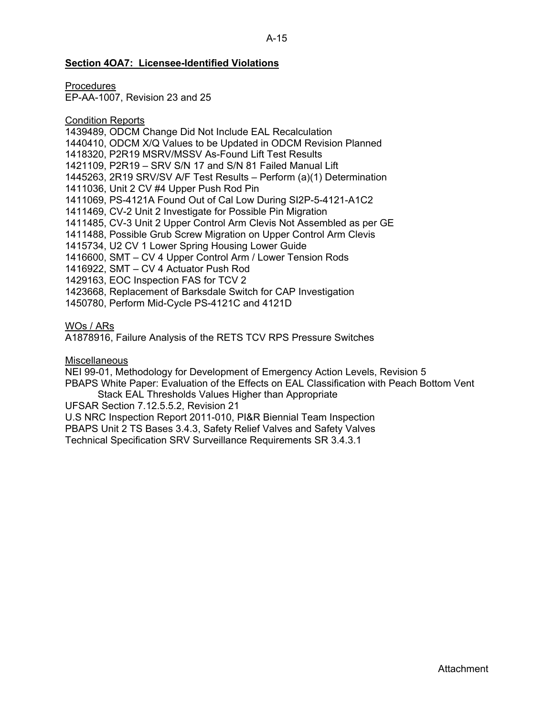### A-15

### **Section 4OA7: Licensee-Identified Violations**

**Procedures** 

EP-AA-1007, Revision 23 and 25

## Condition Reports

1439489, ODCM Change Did Not Include EAL Recalculation 1440410, ODCM X/Q Values to be Updated in ODCM Revision Planned 1418320, P2R19 MSRV/MSSV As-Found Lift Test Results 1421109, P2R19 – SRV S/N 17 and S/N 81 Failed Manual Lift 1445263, 2R19 SRV/SV A/F Test Results – Perform (a)(1) Determination 1411036, Unit 2 CV #4 Upper Push Rod Pin 1411069, PS-4121A Found Out of Cal Low During SI2P-5-4121-A1C2 1411469, CV-2 Unit 2 Investigate for Possible Pin Migration 1411485, CV-3 Unit 2 Upper Control Arm Clevis Not Assembled as per GE 1411488, Possible Grub Screw Migration on Upper Control Arm Clevis 1415734, U2 CV 1 Lower Spring Housing Lower Guide 1416600, SMT – CV 4 Upper Control Arm / Lower Tension Rods 1416922, SMT – CV 4 Actuator Push Rod 1429163, EOC Inspection FAS for TCV 2 1423668, Replacement of Barksdale Switch for CAP Investigation 1450780, Perform Mid-Cycle PS-4121C and 4121D

## WOs / ARs

A1878916, Failure Analysis of the RETS TCV RPS Pressure Switches

## **Miscellaneous**

NEI 99-01, Methodology for Development of Emergency Action Levels, Revision 5 PBAPS White Paper: Evaluation of the Effects on EAL Classification with Peach Bottom Vent Stack EAL Thresholds Values Higher than Appropriate

UFSAR Section 7.12.5.5.2, Revision 21

U.S NRC Inspection Report 2011-010, PI&R Biennial Team Inspection PBAPS Unit 2 TS Bases 3.4.3, Safety Relief Valves and Safety Valves Technical Specification SRV Surveillance Requirements SR 3.4.3.1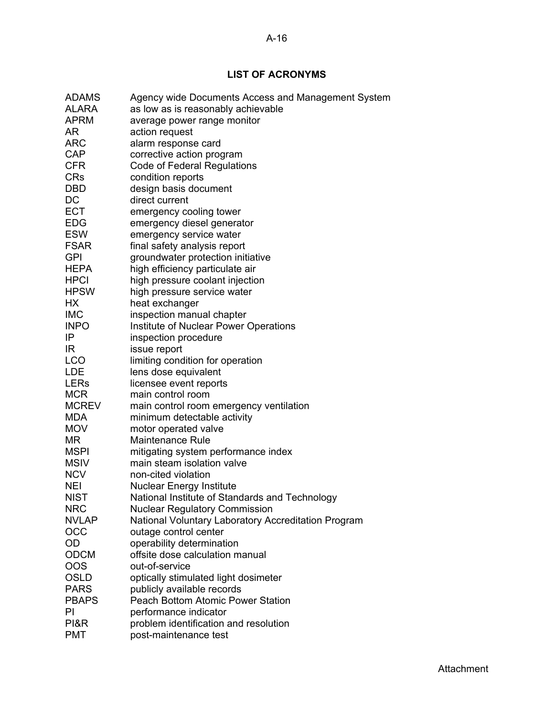A-16

# **LIST OF ACRONYMS**

| <b>ADAMS</b> | Agency wide Documents Access and Management System  |
|--------------|-----------------------------------------------------|
| <b>ALARA</b> | as low as is reasonably achievable                  |
| <b>APRM</b>  | average power range monitor                         |
| AR           | action request                                      |
| ARC          | alarm response card                                 |
| <b>CAP</b>   | corrective action program                           |
| <b>CFR</b>   | <b>Code of Federal Regulations</b>                  |
| <b>CRs</b>   | condition reports                                   |
| <b>DBD</b>   | design basis document                               |
| DC           | direct current                                      |
| <b>ECT</b>   | emergency cooling tower                             |
| <b>EDG</b>   | emergency diesel generator                          |
| <b>ESW</b>   | emergency service water                             |
| <b>FSAR</b>  | final safety analysis report                        |
| <b>GPI</b>   | groundwater protection initiative                   |
| <b>HEPA</b>  | high efficiency particulate air                     |
| <b>HPCI</b>  | high pressure coolant injection                     |
| <b>HPSW</b>  | high pressure service water                         |
| НX           | heat exchanger                                      |
| <b>IMC</b>   | inspection manual chapter                           |
| <b>INPO</b>  | Institute of Nuclear Power Operations               |
| IP           | inspection procedure                                |
| IR           | issue report                                        |
| LCO          | limiting condition for operation                    |
| <b>LDE</b>   | lens dose equivalent                                |
| <b>LERs</b>  | licensee event reports                              |
| <b>MCR</b>   | main control room                                   |
| <b>MCREV</b> | main control room emergency ventilation             |
| <b>MDA</b>   | minimum detectable activity                         |
| <b>MOV</b>   | motor operated valve                                |
| ΜR           | <b>Maintenance Rule</b>                             |
| <b>MSPI</b>  | mitigating system performance index                 |
| <b>MSIV</b>  | main steam isolation valve                          |
| <b>NCV</b>   | non-cited violation                                 |
| NEI          | <b>Nuclear Energy Institute</b>                     |
| <b>NIST</b>  | National Institute of Standards and Technology      |
| <b>NRC</b>   | <b>Nuclear Regulatory Commission</b>                |
| <b>NVLAP</b> | National Voluntary Laboratory Accreditation Program |
| OCC          | outage control center                               |
| <b>OD</b>    | operability determination                           |
| <b>ODCM</b>  | offsite dose calculation manual                     |
| <b>OOS</b>   | out-of-service                                      |
| <b>OSLD</b>  | optically stimulated light dosimeter                |
| <b>PARS</b>  | publicly available records                          |
| <b>PBAPS</b> | <b>Peach Bottom Atomic Power Station</b>            |
| PI           | performance indicator                               |
| PI&R         | problem identification and resolution               |
| <b>PMT</b>   | post-maintenance test                               |
|              |                                                     |